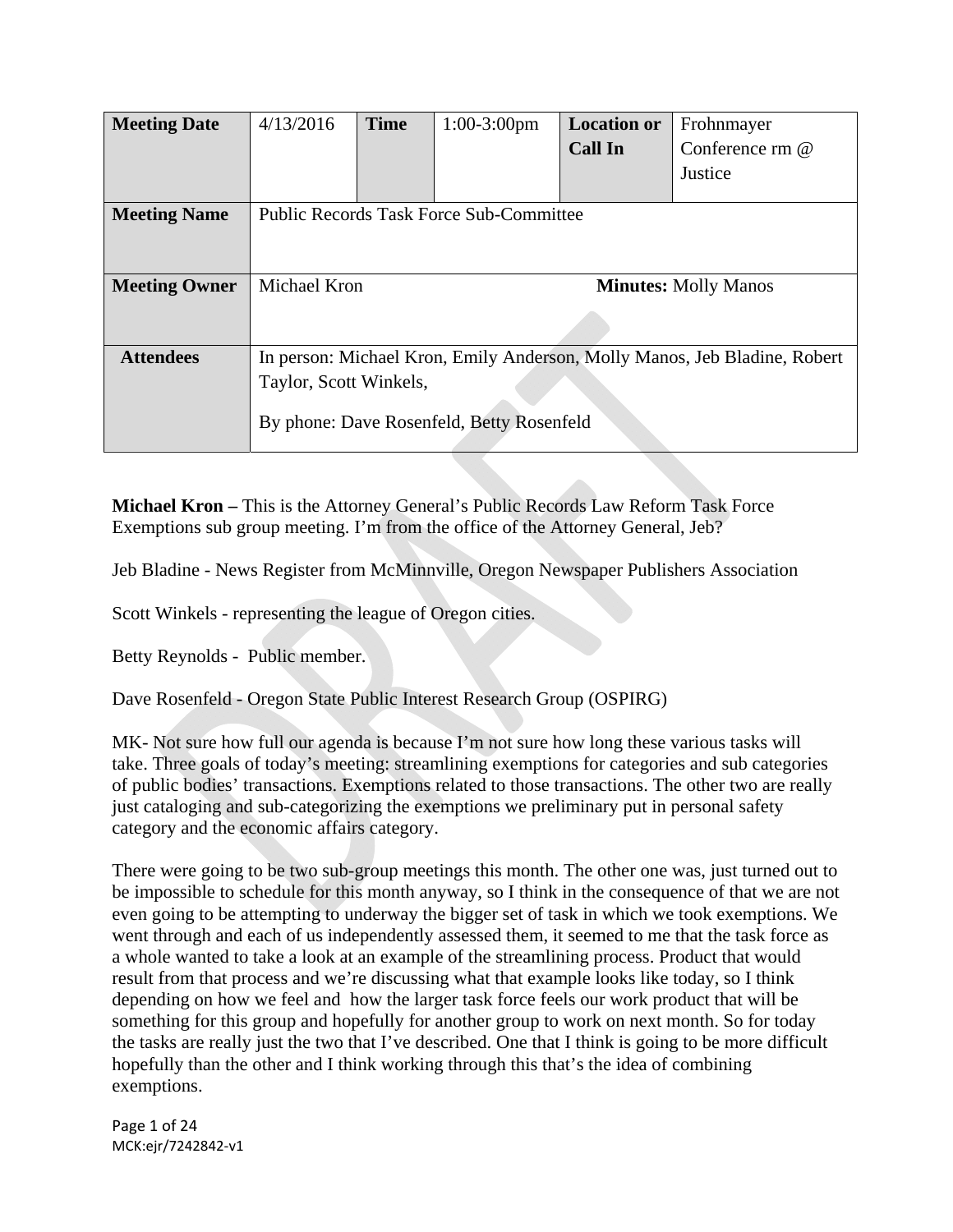| <b>Meeting Date</b>  | 4/13/2016                                                                 | <b>Time</b> | $1:00-3:00$ pm | <b>Location or</b> | Frohnmayer      |
|----------------------|---------------------------------------------------------------------------|-------------|----------------|--------------------|-----------------|
|                      |                                                                           |             |                | <b>Call In</b>     | Conference rm @ |
|                      |                                                                           |             |                |                    | Justice         |
| <b>Meeting Name</b>  | <b>Public Records Task Force Sub-Committee</b>                            |             |                |                    |                 |
|                      |                                                                           |             |                |                    |                 |
| <b>Meeting Owner</b> | Michael Kron<br><b>Minutes: Molly Manos</b>                               |             |                |                    |                 |
|                      |                                                                           |             |                |                    |                 |
| <b>Attendees</b>     | In person: Michael Kron, Emily Anderson, Molly Manos, Jeb Bladine, Robert |             |                |                    |                 |
|                      | Taylor, Scott Winkels,                                                    |             |                |                    |                 |
|                      | By phone: Dave Rosenfeld, Betty Rosenfeld                                 |             |                |                    |                 |

**Michael Kron –** This is the Attorney General's Public Records Law Reform Task Force Exemptions sub group meeting. I'm from the office of the Attorney General, Jeb?

Jeb Bladine - News Register from McMinnville, Oregon Newspaper Publishers Association

Scott Winkels - representing the league of Oregon cities.

Betty Reynolds - Public member.

Dave Rosenfeld - Oregon State Public Interest Research Group (OSPIRG)

MK- Not sure how full our agenda is because I'm not sure how long these various tasks will take. Three goals of today's meeting: streamlining exemptions for categories and sub categories of public bodies' transactions. Exemptions related to those transactions. The other two are really just cataloging and sub-categorizing the exemptions we preliminary put in personal safety category and the economic affairs category.

There were going to be two sub-group meetings this month. The other one was, just turned out to be impossible to schedule for this month anyway, so I think in the consequence of that we are not even going to be attempting to underway the bigger set of task in which we took exemptions. We went through and each of us independently assessed them, it seemed to me that the task force as a whole wanted to take a look at an example of the streamlining process. Product that would result from that process and we're discussing what that example looks like today, so I think depending on how we feel and how the larger task force feels our work product that will be something for this group and hopefully for another group to work on next month. So for today the tasks are really just the two that I've described. One that I think is going to be more difficult hopefully than the other and I think working through this that's the idea of combining exemptions.

Page 1 of 24 MCK:ejr/7242842‐v1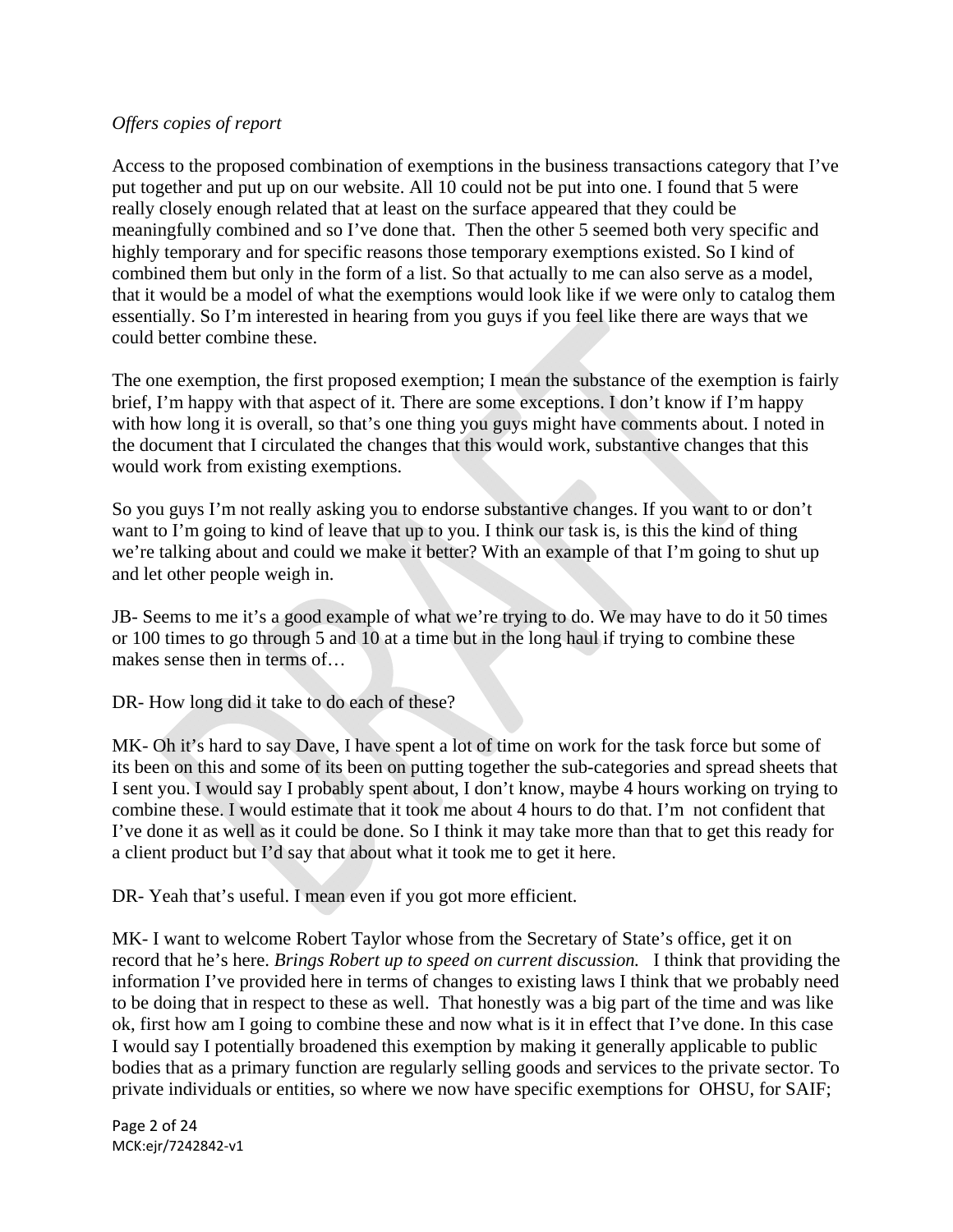# *Offers copies of report*

Access to the proposed combination of exemptions in the business transactions category that I've put together and put up on our website. All 10 could not be put into one. I found that 5 were really closely enough related that at least on the surface appeared that they could be meaningfully combined and so I've done that. Then the other 5 seemed both very specific and highly temporary and for specific reasons those temporary exemptions existed. So I kind of combined them but only in the form of a list. So that actually to me can also serve as a model, that it would be a model of what the exemptions would look like if we were only to catalog them essentially. So I'm interested in hearing from you guys if you feel like there are ways that we could better combine these.

The one exemption, the first proposed exemption; I mean the substance of the exemption is fairly brief, I'm happy with that aspect of it. There are some exceptions. I don't know if I'm happy with how long it is overall, so that's one thing you guys might have comments about. I noted in the document that I circulated the changes that this would work, substantive changes that this would work from existing exemptions.

So you guys I'm not really asking you to endorse substantive changes. If you want to or don't want to I'm going to kind of leave that up to you. I think our task is, is this the kind of thing we're talking about and could we make it better? With an example of that I'm going to shut up and let other people weigh in.

JB- Seems to me it's a good example of what we're trying to do. We may have to do it 50 times or 100 times to go through 5 and 10 at a time but in the long haul if trying to combine these makes sense then in terms of…

DR- How long did it take to do each of these?

MK- Oh it's hard to say Dave, I have spent a lot of time on work for the task force but some of its been on this and some of its been on putting together the sub-categories and spread sheets that I sent you. I would say I probably spent about, I don't know, maybe 4 hours working on trying to combine these. I would estimate that it took me about 4 hours to do that. I'm not confident that I've done it as well as it could be done. So I think it may take more than that to get this ready for a client product but I'd say that about what it took me to get it here.

DR- Yeah that's useful. I mean even if you got more efficient.

MK- I want to welcome Robert Taylor whose from the Secretary of State's office, get it on record that he's here. *Brings Robert up to speed on current discussion.* I think that providing the information I've provided here in terms of changes to existing laws I think that we probably need to be doing that in respect to these as well. That honestly was a big part of the time and was like ok, first how am I going to combine these and now what is it in effect that I've done. In this case I would say I potentially broadened this exemption by making it generally applicable to public bodies that as a primary function are regularly selling goods and services to the private sector. To private individuals or entities, so where we now have specific exemptions for OHSU, for SAIF;

Page 2 of 24 MCK:ejr/7242842‐v1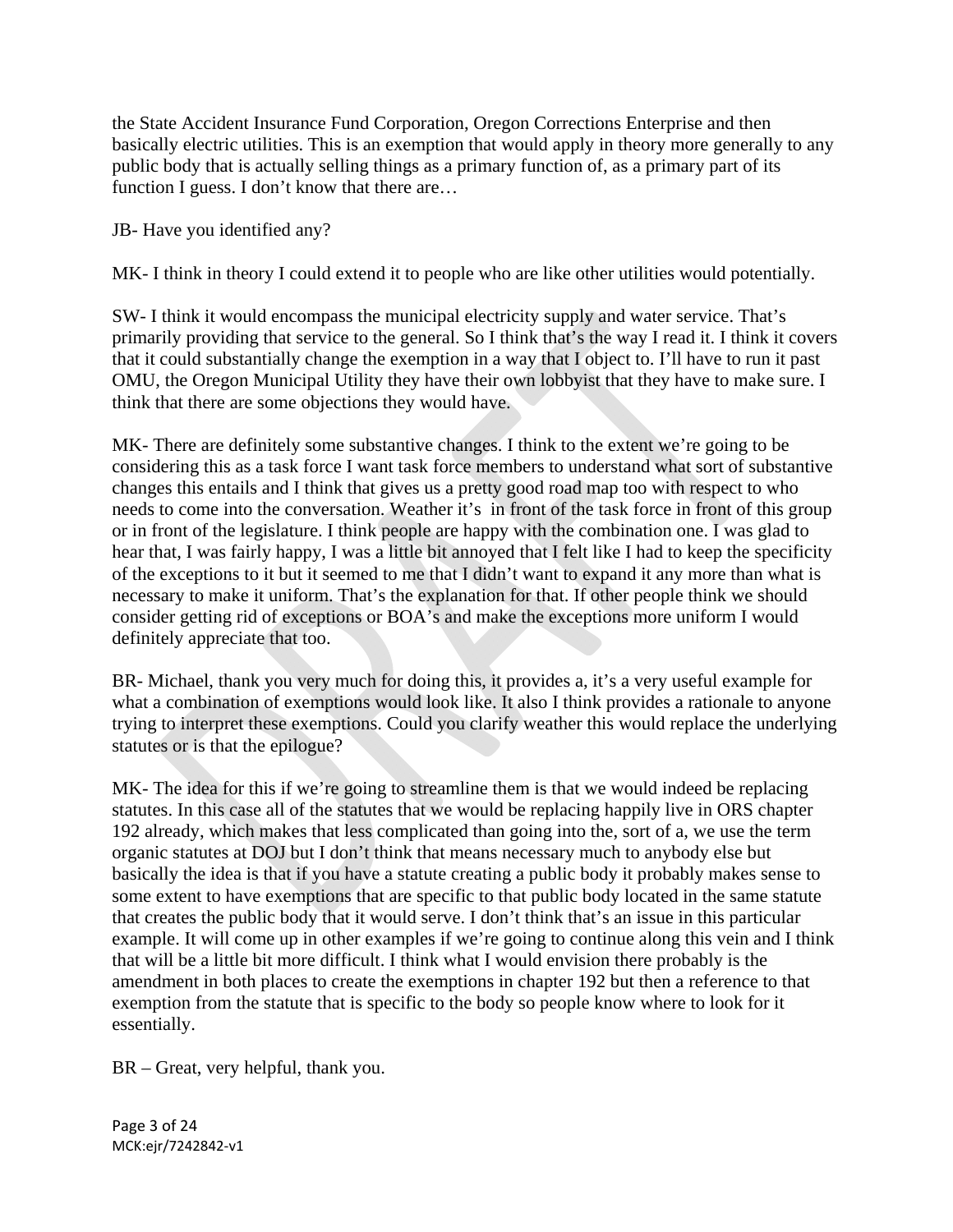the State Accident Insurance Fund Corporation, Oregon Corrections Enterprise and then basically electric utilities. This is an exemption that would apply in theory more generally to any public body that is actually selling things as a primary function of, as a primary part of its function I guess. I don't know that there are...

JB- Have you identified any?

MK- I think in theory I could extend it to people who are like other utilities would potentially.

SW- I think it would encompass the municipal electricity supply and water service. That's primarily providing that service to the general. So I think that's the way I read it. I think it covers that it could substantially change the exemption in a way that I object to. I'll have to run it past OMU, the Oregon Municipal Utility they have their own lobbyist that they have to make sure. I think that there are some objections they would have.

MK- There are definitely some substantive changes. I think to the extent we're going to be considering this as a task force I want task force members to understand what sort of substantive changes this entails and I think that gives us a pretty good road map too with respect to who needs to come into the conversation. Weather it's in front of the task force in front of this group or in front of the legislature. I think people are happy with the combination one. I was glad to hear that, I was fairly happy, I was a little bit annoyed that I felt like I had to keep the specificity of the exceptions to it but it seemed to me that I didn't want to expand it any more than what is necessary to make it uniform. That's the explanation for that. If other people think we should consider getting rid of exceptions or BOA's and make the exceptions more uniform I would definitely appreciate that too.

BR- Michael, thank you very much for doing this, it provides a, it's a very useful example for what a combination of exemptions would look like. It also I think provides a rationale to anyone trying to interpret these exemptions. Could you clarify weather this would replace the underlying statutes or is that the epilogue?

MK- The idea for this if we're going to streamline them is that we would indeed be replacing statutes. In this case all of the statutes that we would be replacing happily live in ORS chapter 192 already, which makes that less complicated than going into the, sort of a, we use the term organic statutes at DOJ but I don't think that means necessary much to anybody else but basically the idea is that if you have a statute creating a public body it probably makes sense to some extent to have exemptions that are specific to that public body located in the same statute that creates the public body that it would serve. I don't think that's an issue in this particular example. It will come up in other examples if we're going to continue along this vein and I think that will be a little bit more difficult. I think what I would envision there probably is the amendment in both places to create the exemptions in chapter 192 but then a reference to that exemption from the statute that is specific to the body so people know where to look for it essentially.

BR – Great, very helpful, thank you.

Page 3 of 24 MCK:ejr/7242842‐v1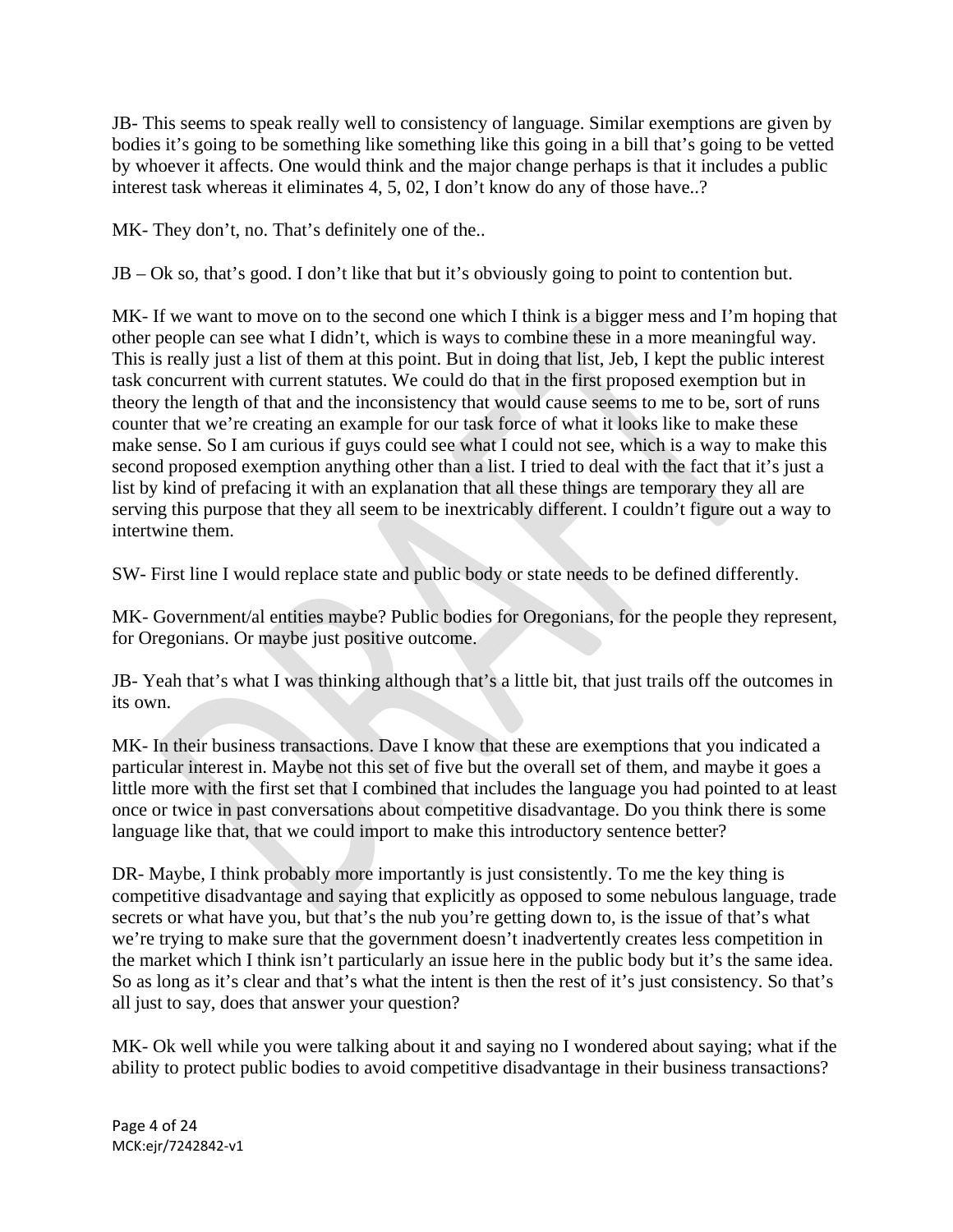JB- This seems to speak really well to consistency of language. Similar exemptions are given by bodies it's going to be something like something like this going in a bill that's going to be vetted by whoever it affects. One would think and the major change perhaps is that it includes a public interest task whereas it eliminates 4, 5, 02, I don't know do any of those have..?

MK- They don't, no. That's definitely one of the..

JB – Ok so, that's good. I don't like that but it's obviously going to point to contention but.

MK- If we want to move on to the second one which I think is a bigger mess and I'm hoping that other people can see what I didn't, which is ways to combine these in a more meaningful way. This is really just a list of them at this point. But in doing that list, Jeb, I kept the public interest task concurrent with current statutes. We could do that in the first proposed exemption but in theory the length of that and the inconsistency that would cause seems to me to be, sort of runs counter that we're creating an example for our task force of what it looks like to make these make sense. So I am curious if guys could see what I could not see, which is a way to make this second proposed exemption anything other than a list. I tried to deal with the fact that it's just a list by kind of prefacing it with an explanation that all these things are temporary they all are serving this purpose that they all seem to be inextricably different. I couldn't figure out a way to intertwine them.

SW- First line I would replace state and public body or state needs to be defined differently.

MK- Government/al entities maybe? Public bodies for Oregonians, for the people they represent, for Oregonians. Or maybe just positive outcome.

JB- Yeah that's what I was thinking although that's a little bit, that just trails off the outcomes in its own.

MK- In their business transactions. Dave I know that these are exemptions that you indicated a particular interest in. Maybe not this set of five but the overall set of them, and maybe it goes a little more with the first set that I combined that includes the language you had pointed to at least once or twice in past conversations about competitive disadvantage. Do you think there is some language like that, that we could import to make this introductory sentence better?

DR- Maybe, I think probably more importantly is just consistently. To me the key thing is competitive disadvantage and saying that explicitly as opposed to some nebulous language, trade secrets or what have you, but that's the nub you're getting down to, is the issue of that's what we're trying to make sure that the government doesn't inadvertently creates less competition in the market which I think isn't particularly an issue here in the public body but it's the same idea. So as long as it's clear and that's what the intent is then the rest of it's just consistency. So that's all just to say, does that answer your question?

MK- Ok well while you were talking about it and saying no I wondered about saying; what if the ability to protect public bodies to avoid competitive disadvantage in their business transactions?

Page 4 of 24 MCK:ejr/7242842‐v1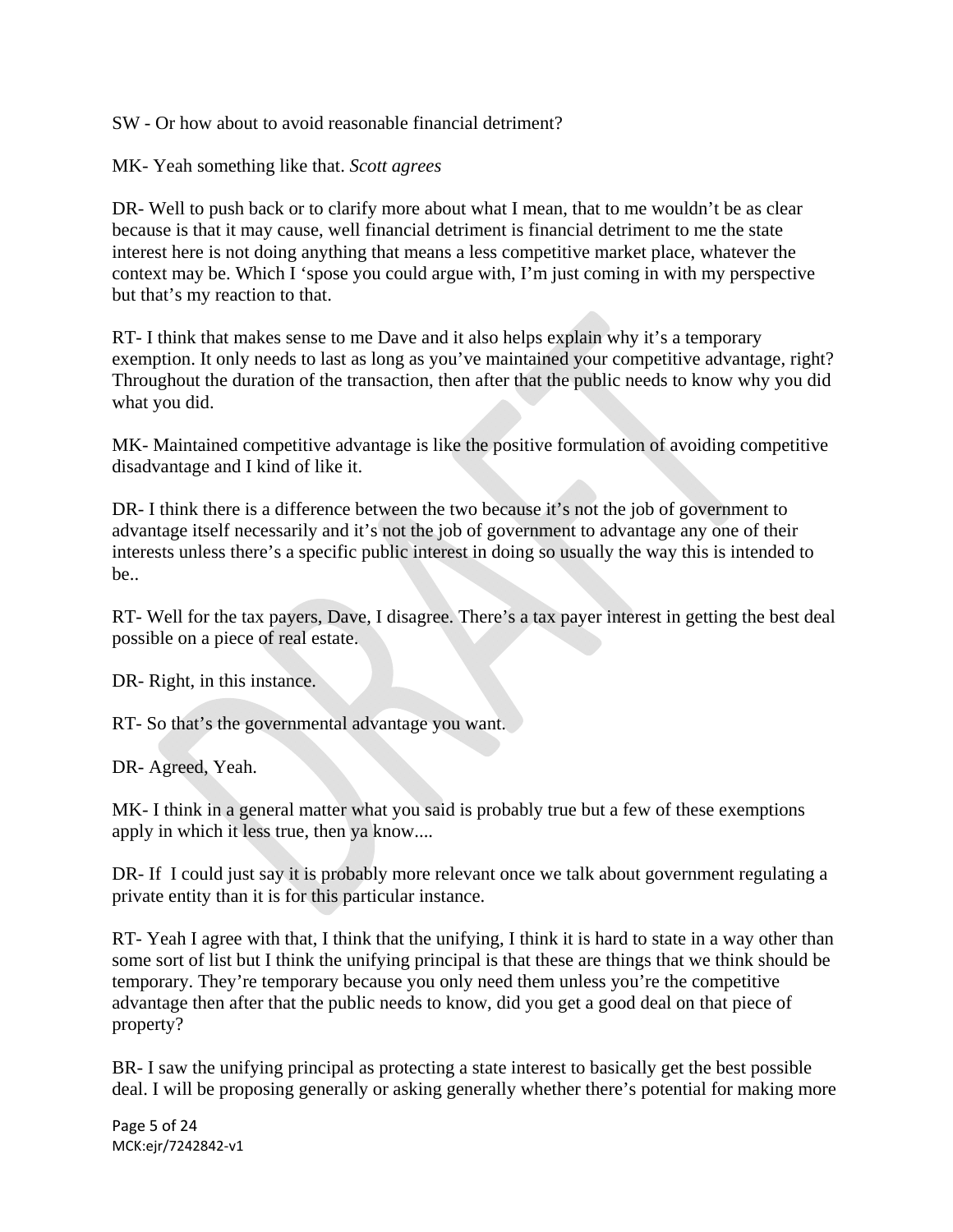SW - Or how about to avoid reasonable financial detriment?

MK- Yeah something like that. *Scott agrees*

DR- Well to push back or to clarify more about what I mean, that to me wouldn't be as clear because is that it may cause, well financial detriment is financial detriment to me the state interest here is not doing anything that means a less competitive market place, whatever the context may be. Which I 'spose you could argue with, I'm just coming in with my perspective but that's my reaction to that.

RT- I think that makes sense to me Dave and it also helps explain why it's a temporary exemption. It only needs to last as long as you've maintained your competitive advantage, right? Throughout the duration of the transaction, then after that the public needs to know why you did what you did.

MK- Maintained competitive advantage is like the positive formulation of avoiding competitive disadvantage and I kind of like it.

DR- I think there is a difference between the two because it's not the job of government to advantage itself necessarily and it's not the job of government to advantage any one of their interests unless there's a specific public interest in doing so usually the way this is intended to be..

RT- Well for the tax payers, Dave, I disagree. There's a tax payer interest in getting the best deal possible on a piece of real estate.

DR- Right, in this instance.

RT- So that's the governmental advantage you want.

DR- Agreed, Yeah.

MK- I think in a general matter what you said is probably true but a few of these exemptions apply in which it less true, then ya know....

DR- If I could just say it is probably more relevant once we talk about government regulating a private entity than it is for this particular instance.

RT- Yeah I agree with that, I think that the unifying, I think it is hard to state in a way other than some sort of list but I think the unifying principal is that these are things that we think should be temporary. They're temporary because you only need them unless you're the competitive advantage then after that the public needs to know, did you get a good deal on that piece of property?

BR- I saw the unifying principal as protecting a state interest to basically get the best possible deal. I will be proposing generally or asking generally whether there's potential for making more

Page 5 of 24 MCK:ejr/7242842‐v1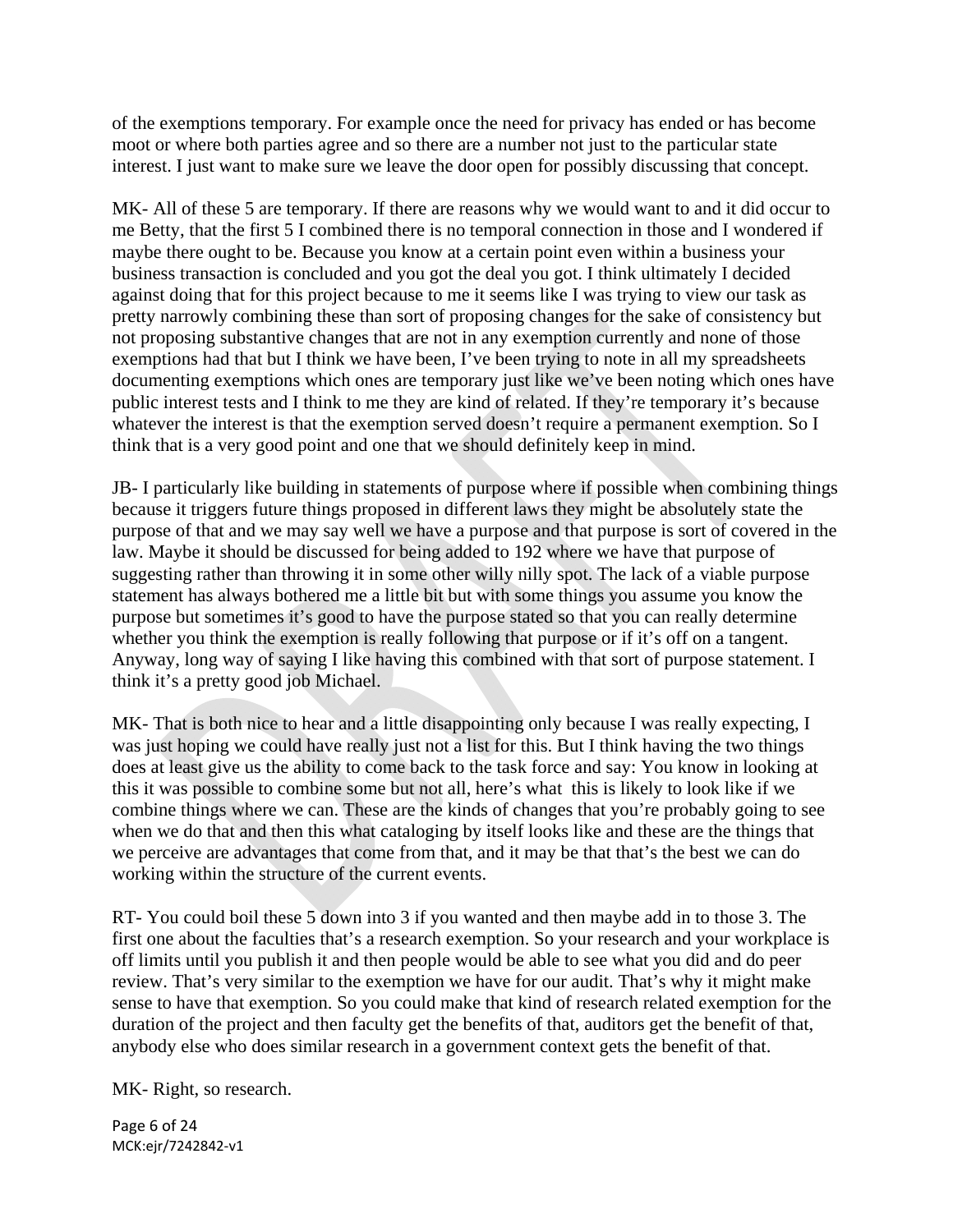of the exemptions temporary. For example once the need for privacy has ended or has become moot or where both parties agree and so there are a number not just to the particular state interest. I just want to make sure we leave the door open for possibly discussing that concept.

MK- All of these 5 are temporary. If there are reasons why we would want to and it did occur to me Betty, that the first 5 I combined there is no temporal connection in those and I wondered if maybe there ought to be. Because you know at a certain point even within a business your business transaction is concluded and you got the deal you got. I think ultimately I decided against doing that for this project because to me it seems like I was trying to view our task as pretty narrowly combining these than sort of proposing changes for the sake of consistency but not proposing substantive changes that are not in any exemption currently and none of those exemptions had that but I think we have been, I've been trying to note in all my spreadsheets documenting exemptions which ones are temporary just like we've been noting which ones have public interest tests and I think to me they are kind of related. If they're temporary it's because whatever the interest is that the exemption served doesn't require a permanent exemption. So I think that is a very good point and one that we should definitely keep in mind.

JB- I particularly like building in statements of purpose where if possible when combining things because it triggers future things proposed in different laws they might be absolutely state the purpose of that and we may say well we have a purpose and that purpose is sort of covered in the law. Maybe it should be discussed for being added to 192 where we have that purpose of suggesting rather than throwing it in some other willy nilly spot. The lack of a viable purpose statement has always bothered me a little bit but with some things you assume you know the purpose but sometimes it's good to have the purpose stated so that you can really determine whether you think the exemption is really following that purpose or if it's off on a tangent. Anyway, long way of saying I like having this combined with that sort of purpose statement. I think it's a pretty good job Michael.

MK- That is both nice to hear and a little disappointing only because I was really expecting, I was just hoping we could have really just not a list for this. But I think having the two things does at least give us the ability to come back to the task force and say: You know in looking at this it was possible to combine some but not all, here's what this is likely to look like if we combine things where we can. These are the kinds of changes that you're probably going to see when we do that and then this what cataloging by itself looks like and these are the things that we perceive are advantages that come from that, and it may be that that's the best we can do working within the structure of the current events.

RT- You could boil these 5 down into 3 if you wanted and then maybe add in to those 3. The first one about the faculties that's a research exemption. So your research and your workplace is off limits until you publish it and then people would be able to see what you did and do peer review. That's very similar to the exemption we have for our audit. That's why it might make sense to have that exemption. So you could make that kind of research related exemption for the duration of the project and then faculty get the benefits of that, auditors get the benefit of that, anybody else who does similar research in a government context gets the benefit of that.

MK- Right, so research.

Page 6 of 24 MCK:ejr/7242842‐v1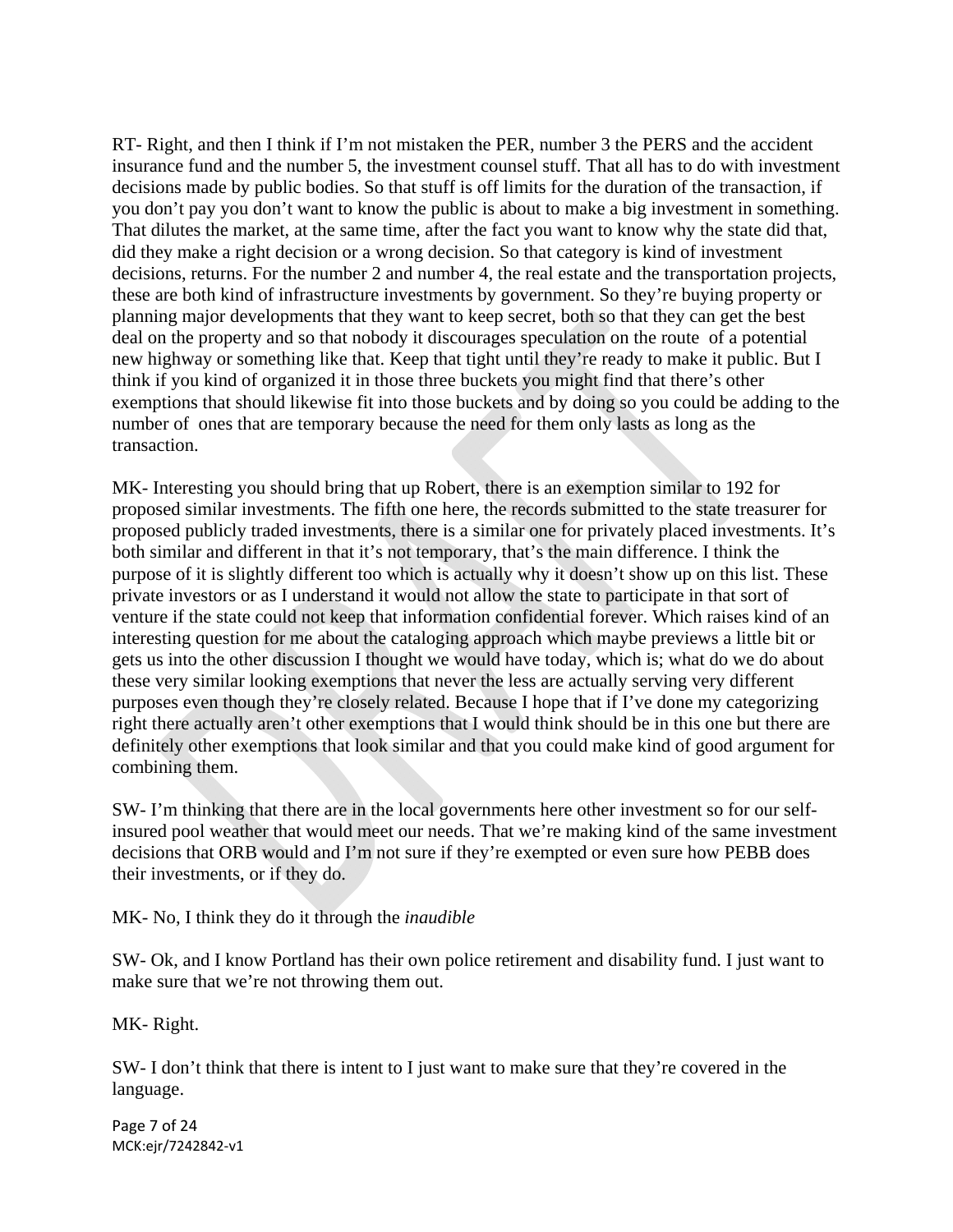RT- Right, and then I think if I'm not mistaken the PER, number 3 the PERS and the accident insurance fund and the number 5, the investment counsel stuff. That all has to do with investment decisions made by public bodies. So that stuff is off limits for the duration of the transaction, if you don't pay you don't want to know the public is about to make a big investment in something. That dilutes the market, at the same time, after the fact you want to know why the state did that, did they make a right decision or a wrong decision. So that category is kind of investment decisions, returns. For the number 2 and number 4, the real estate and the transportation projects, these are both kind of infrastructure investments by government. So they're buying property or planning major developments that they want to keep secret, both so that they can get the best deal on the property and so that nobody it discourages speculation on the route of a potential new highway or something like that. Keep that tight until they're ready to make it public. But I think if you kind of organized it in those three buckets you might find that there's other exemptions that should likewise fit into those buckets and by doing so you could be adding to the number of ones that are temporary because the need for them only lasts as long as the transaction.

MK- Interesting you should bring that up Robert, there is an exemption similar to 192 for proposed similar investments. The fifth one here, the records submitted to the state treasurer for proposed publicly traded investments, there is a similar one for privately placed investments. It's both similar and different in that it's not temporary, that's the main difference. I think the purpose of it is slightly different too which is actually why it doesn't show up on this list. These private investors or as I understand it would not allow the state to participate in that sort of venture if the state could not keep that information confidential forever. Which raises kind of an interesting question for me about the cataloging approach which maybe previews a little bit or gets us into the other discussion I thought we would have today, which is; what do we do about these very similar looking exemptions that never the less are actually serving very different purposes even though they're closely related. Because I hope that if I've done my categorizing right there actually aren't other exemptions that I would think should be in this one but there are definitely other exemptions that look similar and that you could make kind of good argument for combining them.

SW- I'm thinking that there are in the local governments here other investment so for our selfinsured pool weather that would meet our needs. That we're making kind of the same investment decisions that ORB would and I'm not sure if they're exempted or even sure how PEBB does their investments, or if they do.

MK- No, I think they do it through the *inaudible* 

SW- Ok, and I know Portland has their own police retirement and disability fund. I just want to make sure that we're not throwing them out.

MK- Right.

SW- I don't think that there is intent to I just want to make sure that they're covered in the language.

Page 7 of 24 MCK:ejr/7242842‐v1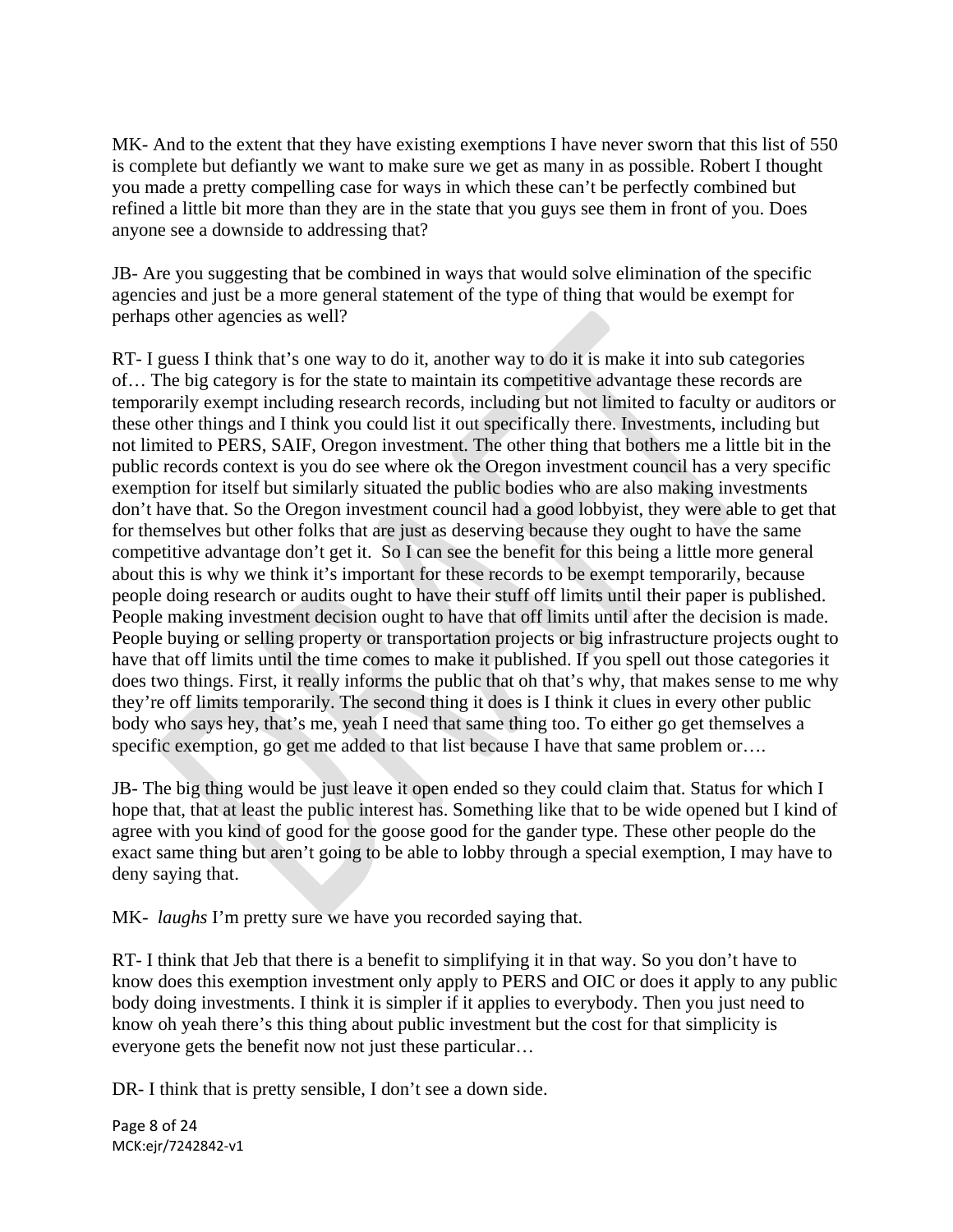MK- And to the extent that they have existing exemptions I have never sworn that this list of 550 is complete but defiantly we want to make sure we get as many in as possible. Robert I thought you made a pretty compelling case for ways in which these can't be perfectly combined but refined a little bit more than they are in the state that you guys see them in front of you. Does anyone see a downside to addressing that?

JB- Are you suggesting that be combined in ways that would solve elimination of the specific agencies and just be a more general statement of the type of thing that would be exempt for perhaps other agencies as well?

RT- I guess I think that's one way to do it, another way to do it is make it into sub categories of… The big category is for the state to maintain its competitive advantage these records are temporarily exempt including research records, including but not limited to faculty or auditors or these other things and I think you could list it out specifically there. Investments, including but not limited to PERS, SAIF, Oregon investment. The other thing that bothers me a little bit in the public records context is you do see where ok the Oregon investment council has a very specific exemption for itself but similarly situated the public bodies who are also making investments don't have that. So the Oregon investment council had a good lobbyist, they were able to get that for themselves but other folks that are just as deserving because they ought to have the same competitive advantage don't get it. So I can see the benefit for this being a little more general about this is why we think it's important for these records to be exempt temporarily, because people doing research or audits ought to have their stuff off limits until their paper is published. People making investment decision ought to have that off limits until after the decision is made. People buying or selling property or transportation projects or big infrastructure projects ought to have that off limits until the time comes to make it published. If you spell out those categories it does two things. First, it really informs the public that oh that's why, that makes sense to me why they're off limits temporarily. The second thing it does is I think it clues in every other public body who says hey, that's me, yeah I need that same thing too. To either go get themselves a specific exemption, go get me added to that list because I have that same problem or...

JB- The big thing would be just leave it open ended so they could claim that. Status for which I hope that, that at least the public interest has. Something like that to be wide opened but I kind of agree with you kind of good for the goose good for the gander type. These other people do the exact same thing but aren't going to be able to lobby through a special exemption, I may have to deny saying that.

MK- *laughs* I'm pretty sure we have you recorded saying that.

RT- I think that Jeb that there is a benefit to simplifying it in that way. So you don't have to know does this exemption investment only apply to PERS and OIC or does it apply to any public body doing investments. I think it is simpler if it applies to everybody. Then you just need to know oh yeah there's this thing about public investment but the cost for that simplicity is everyone gets the benefit now not just these particular…

DR- I think that is pretty sensible, I don't see a down side.

Page 8 of 24 MCK:ejr/7242842‐v1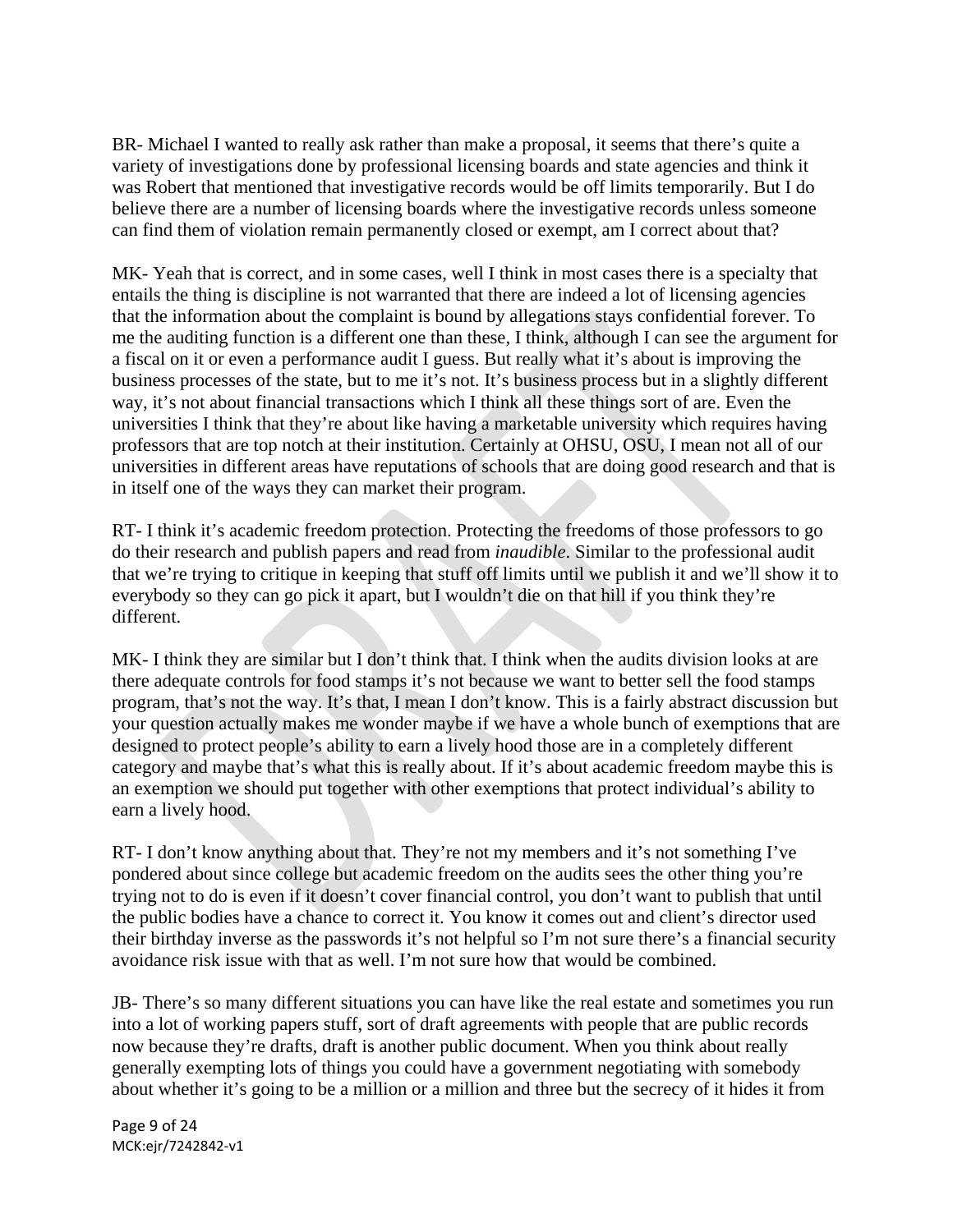BR- Michael I wanted to really ask rather than make a proposal, it seems that there's quite a variety of investigations done by professional licensing boards and state agencies and think it was Robert that mentioned that investigative records would be off limits temporarily. But I do believe there are a number of licensing boards where the investigative records unless someone can find them of violation remain permanently closed or exempt, am I correct about that?

MK- Yeah that is correct, and in some cases, well I think in most cases there is a specialty that entails the thing is discipline is not warranted that there are indeed a lot of licensing agencies that the information about the complaint is bound by allegations stays confidential forever. To me the auditing function is a different one than these, I think, although I can see the argument for a fiscal on it or even a performance audit I guess. But really what it's about is improving the business processes of the state, but to me it's not. It's business process but in a slightly different way, it's not about financial transactions which I think all these things sort of are. Even the universities I think that they're about like having a marketable university which requires having professors that are top notch at their institution. Certainly at OHSU, OSU, I mean not all of our universities in different areas have reputations of schools that are doing good research and that is in itself one of the ways they can market their program.

RT- I think it's academic freedom protection. Protecting the freedoms of those professors to go do their research and publish papers and read from *inaudible*. Similar to the professional audit that we're trying to critique in keeping that stuff off limits until we publish it and we'll show it to everybody so they can go pick it apart, but I wouldn't die on that hill if you think they're different.

MK- I think they are similar but I don't think that. I think when the audits division looks at are there adequate controls for food stamps it's not because we want to better sell the food stamps program, that's not the way. It's that, I mean I don't know. This is a fairly abstract discussion but your question actually makes me wonder maybe if we have a whole bunch of exemptions that are designed to protect people's ability to earn a lively hood those are in a completely different category and maybe that's what this is really about. If it's about academic freedom maybe this is an exemption we should put together with other exemptions that protect individual's ability to earn a lively hood.

RT- I don't know anything about that. They're not my members and it's not something I've pondered about since college but academic freedom on the audits sees the other thing you're trying not to do is even if it doesn't cover financial control, you don't want to publish that until the public bodies have a chance to correct it. You know it comes out and client's director used their birthday inverse as the passwords it's not helpful so I'm not sure there's a financial security avoidance risk issue with that as well. I'm not sure how that would be combined.

JB- There's so many different situations you can have like the real estate and sometimes you run into a lot of working papers stuff, sort of draft agreements with people that are public records now because they're drafts, draft is another public document. When you think about really generally exempting lots of things you could have a government negotiating with somebody about whether it's going to be a million or a million and three but the secrecy of it hides it from

Page 9 of 24 MCK:ejr/7242842‐v1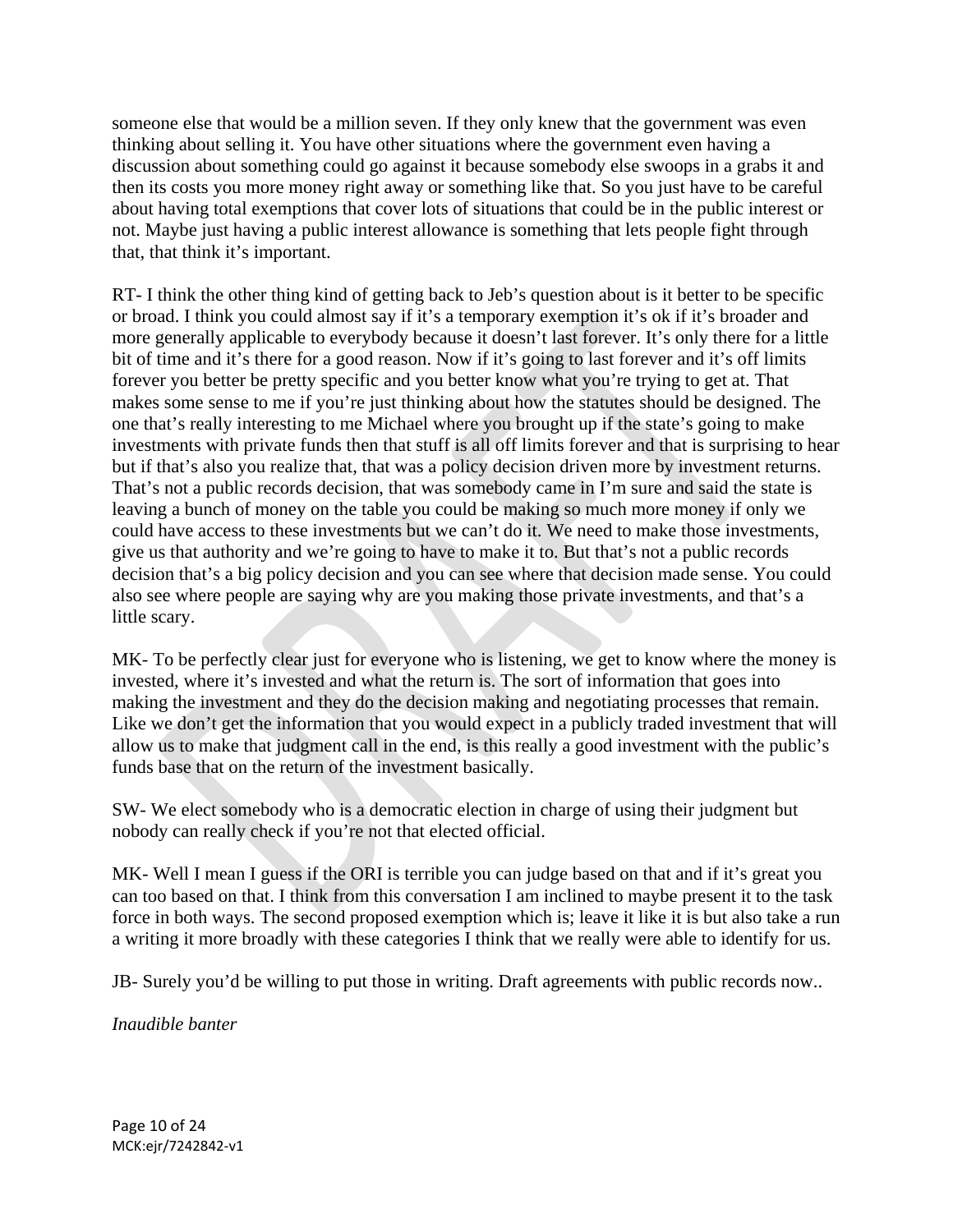someone else that would be a million seven. If they only knew that the government was even thinking about selling it. You have other situations where the government even having a discussion about something could go against it because somebody else swoops in a grabs it and then its costs you more money right away or something like that. So you just have to be careful about having total exemptions that cover lots of situations that could be in the public interest or not. Maybe just having a public interest allowance is something that lets people fight through that, that think it's important.

RT- I think the other thing kind of getting back to Jeb's question about is it better to be specific or broad. I think you could almost say if it's a temporary exemption it's ok if it's broader and more generally applicable to everybody because it doesn't last forever. It's only there for a little bit of time and it's there for a good reason. Now if it's going to last forever and it's off limits forever you better be pretty specific and you better know what you're trying to get at. That makes some sense to me if you're just thinking about how the statutes should be designed. The one that's really interesting to me Michael where you brought up if the state's going to make investments with private funds then that stuff is all off limits forever and that is surprising to hear but if that's also you realize that, that was a policy decision driven more by investment returns. That's not a public records decision, that was somebody came in I'm sure and said the state is leaving a bunch of money on the table you could be making so much more money if only we could have access to these investments but we can't do it. We need to make those investments, give us that authority and we're going to have to make it to. But that's not a public records decision that's a big policy decision and you can see where that decision made sense. You could also see where people are saying why are you making those private investments, and that's a little scary.

MK- To be perfectly clear just for everyone who is listening, we get to know where the money is invested, where it's invested and what the return is. The sort of information that goes into making the investment and they do the decision making and negotiating processes that remain. Like we don't get the information that you would expect in a publicly traded investment that will allow us to make that judgment call in the end, is this really a good investment with the public's funds base that on the return of the investment basically.

SW- We elect somebody who is a democratic election in charge of using their judgment but nobody can really check if you're not that elected official.

MK- Well I mean I guess if the ORI is terrible you can judge based on that and if it's great you can too based on that. I think from this conversation I am inclined to maybe present it to the task force in both ways. The second proposed exemption which is; leave it like it is but also take a run a writing it more broadly with these categories I think that we really were able to identify for us.

JB- Surely you'd be willing to put those in writing. Draft agreements with public records now..

*Inaudible banter*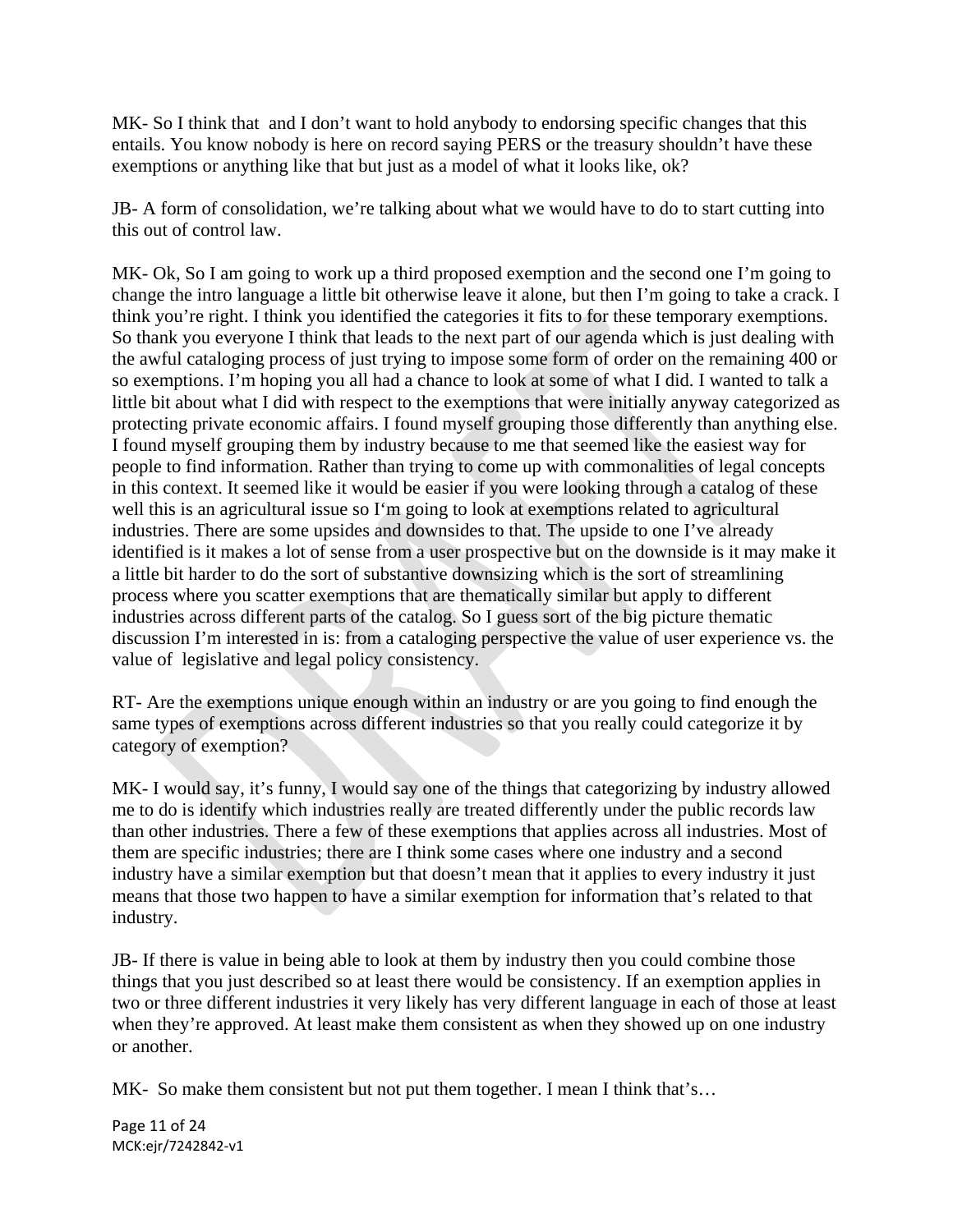MK- So I think that and I don't want to hold anybody to endorsing specific changes that this entails. You know nobody is here on record saying PERS or the treasury shouldn't have these exemptions or anything like that but just as a model of what it looks like, ok?

JB- A form of consolidation, we're talking about what we would have to do to start cutting into this out of control law.

MK- Ok, So I am going to work up a third proposed exemption and the second one I'm going to change the intro language a little bit otherwise leave it alone, but then I'm going to take a crack. I think you're right. I think you identified the categories it fits to for these temporary exemptions. So thank you everyone I think that leads to the next part of our agenda which is just dealing with the awful cataloging process of just trying to impose some form of order on the remaining 400 or so exemptions. I'm hoping you all had a chance to look at some of what I did. I wanted to talk a little bit about what I did with respect to the exemptions that were initially anyway categorized as protecting private economic affairs. I found myself grouping those differently than anything else. I found myself grouping them by industry because to me that seemed like the easiest way for people to find information. Rather than trying to come up with commonalities of legal concepts in this context. It seemed like it would be easier if you were looking through a catalog of these well this is an agricultural issue so I'm going to look at exemptions related to agricultural industries. There are some upsides and downsides to that. The upside to one I've already identified is it makes a lot of sense from a user prospective but on the downside is it may make it a little bit harder to do the sort of substantive downsizing which is the sort of streamlining process where you scatter exemptions that are thematically similar but apply to different industries across different parts of the catalog. So I guess sort of the big picture thematic discussion I'm interested in is: from a cataloging perspective the value of user experience vs. the value of legislative and legal policy consistency.

RT- Are the exemptions unique enough within an industry or are you going to find enough the same types of exemptions across different industries so that you really could categorize it by category of exemption?

MK- I would say, it's funny, I would say one of the things that categorizing by industry allowed me to do is identify which industries really are treated differently under the public records law than other industries. There a few of these exemptions that applies across all industries. Most of them are specific industries; there are I think some cases where one industry and a second industry have a similar exemption but that doesn't mean that it applies to every industry it just means that those two happen to have a similar exemption for information that's related to that industry.

JB- If there is value in being able to look at them by industry then you could combine those things that you just described so at least there would be consistency. If an exemption applies in two or three different industries it very likely has very different language in each of those at least when they're approved. At least make them consistent as when they showed up on one industry or another.

MK- So make them consistent but not put them together. I mean I think that's...

Page 11 of 24 MCK:ejr/7242842‐v1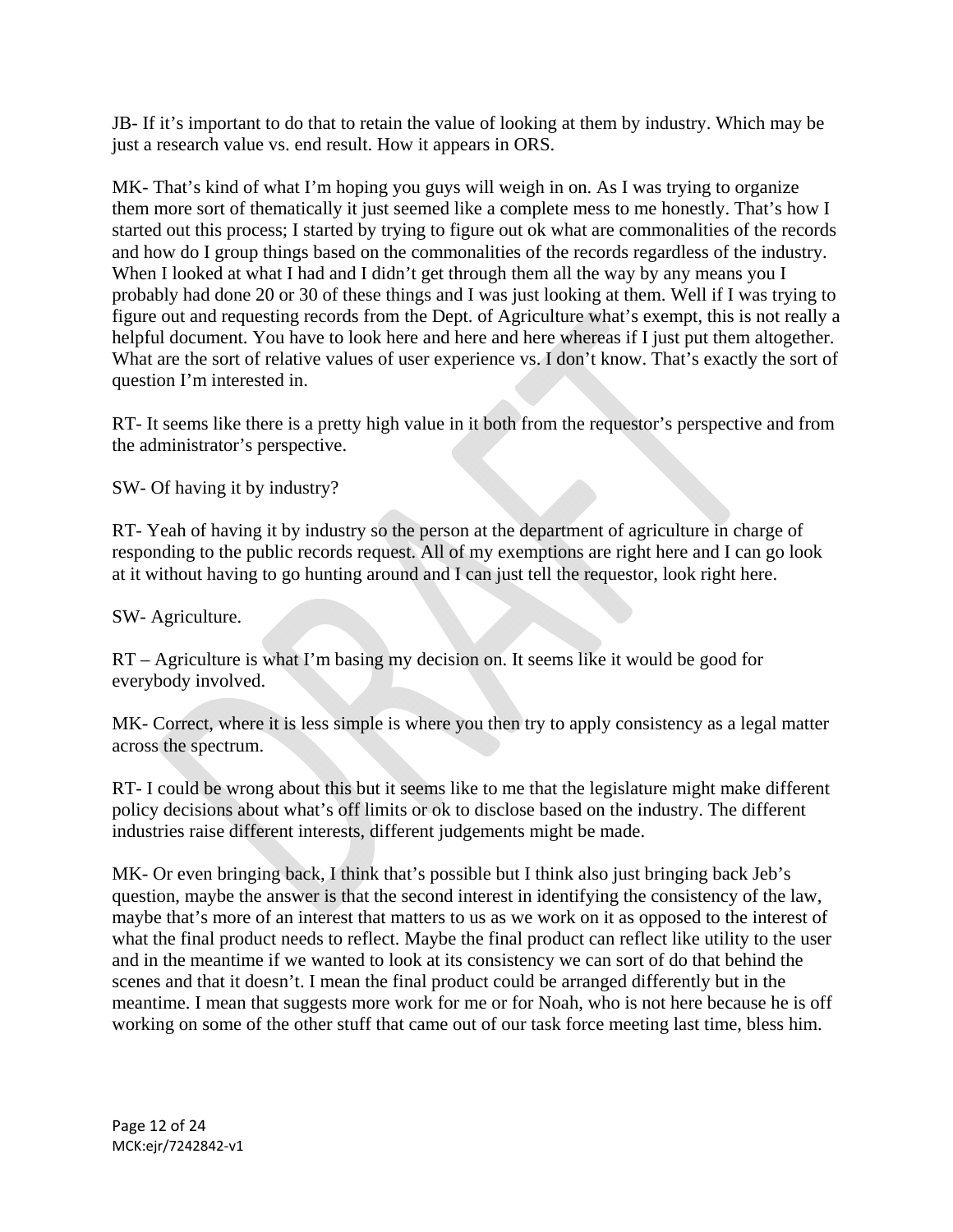JB- If it's important to do that to retain the value of looking at them by industry. Which may be just a research value vs. end result. How it appears in ORS.

MK- That's kind of what I'm hoping you guys will weigh in on. As I was trying to organize them more sort of thematically it just seemed like a complete mess to me honestly. That's how I started out this process; I started by trying to figure out ok what are commonalities of the records and how do I group things based on the commonalities of the records regardless of the industry. When I looked at what I had and I didn't get through them all the way by any means you I probably had done 20 or 30 of these things and I was just looking at them. Well if I was trying to figure out and requesting records from the Dept. of Agriculture what's exempt, this is not really a helpful document. You have to look here and here and here whereas if I just put them altogether. What are the sort of relative values of user experience vs. I don't know. That's exactly the sort of question I'm interested in.

RT- It seems like there is a pretty high value in it both from the requestor's perspective and from the administrator's perspective.

SW- Of having it by industry?

RT- Yeah of having it by industry so the person at the department of agriculture in charge of responding to the public records request. All of my exemptions are right here and I can go look at it without having to go hunting around and I can just tell the requestor, look right here.

SW- Agriculture.

RT – Agriculture is what I'm basing my decision on. It seems like it would be good for everybody involved.

MK- Correct, where it is less simple is where you then try to apply consistency as a legal matter across the spectrum.

RT- I could be wrong about this but it seems like to me that the legislature might make different policy decisions about what's off limits or ok to disclose based on the industry. The different industries raise different interests, different judgements might be made.

MK- Or even bringing back, I think that's possible but I think also just bringing back Jeb's question, maybe the answer is that the second interest in identifying the consistency of the law, maybe that's more of an interest that matters to us as we work on it as opposed to the interest of what the final product needs to reflect. Maybe the final product can reflect like utility to the user and in the meantime if we wanted to look at its consistency we can sort of do that behind the scenes and that it doesn't. I mean the final product could be arranged differently but in the meantime. I mean that suggests more work for me or for Noah, who is not here because he is off working on some of the other stuff that came out of our task force meeting last time, bless him.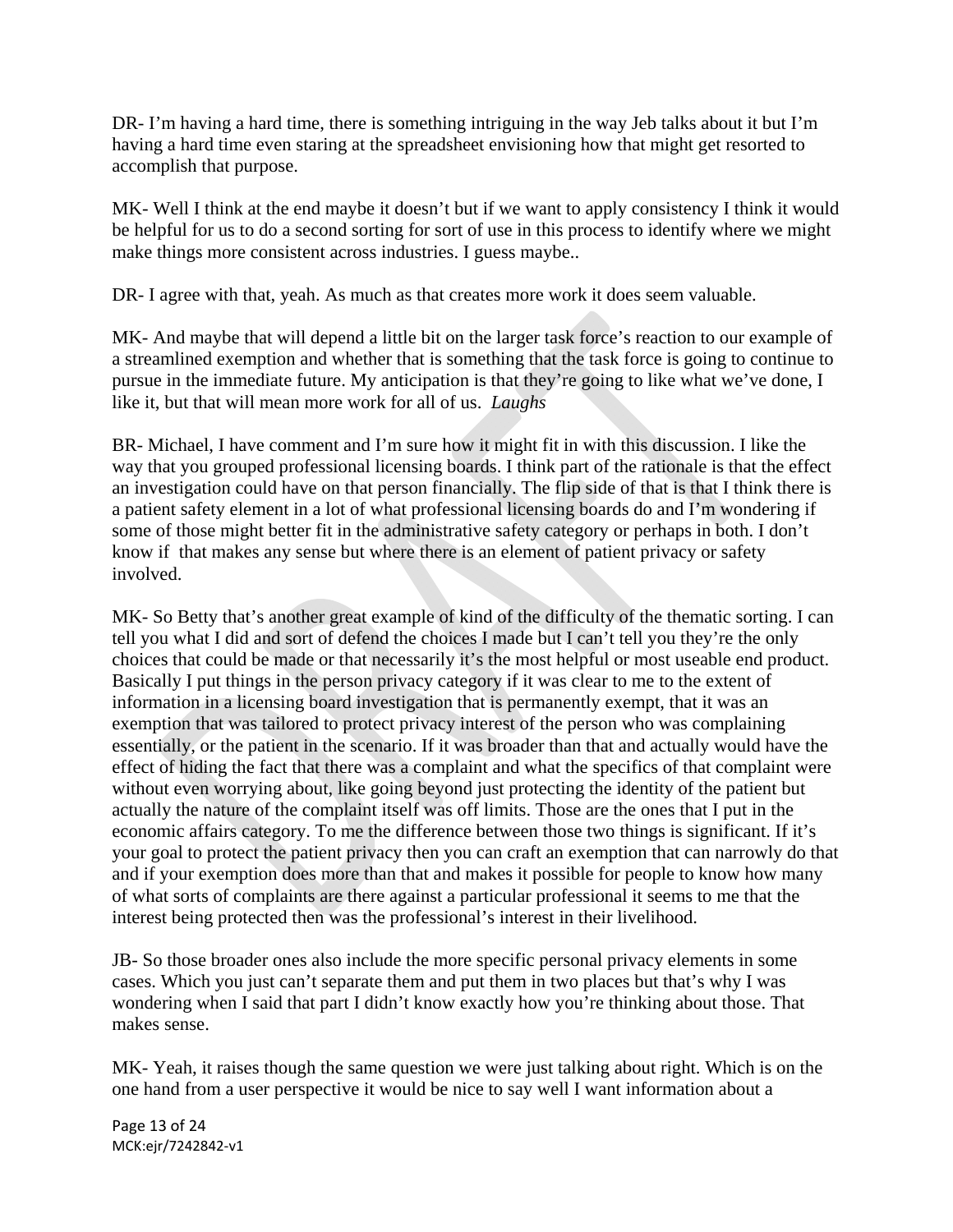DR- I'm having a hard time, there is something intriguing in the way Jeb talks about it but I'm having a hard time even staring at the spreadsheet envisioning how that might get resorted to accomplish that purpose.

MK- Well I think at the end maybe it doesn't but if we want to apply consistency I think it would be helpful for us to do a second sorting for sort of use in this process to identify where we might make things more consistent across industries. I guess maybe..

DR- I agree with that, yeah. As much as that creates more work it does seem valuable.

MK- And maybe that will depend a little bit on the larger task force's reaction to our example of a streamlined exemption and whether that is something that the task force is going to continue to pursue in the immediate future. My anticipation is that they're going to like what we've done, I like it, but that will mean more work for all of us. *Laughs* 

BR- Michael, I have comment and I'm sure how it might fit in with this discussion. I like the way that you grouped professional licensing boards. I think part of the rationale is that the effect an investigation could have on that person financially. The flip side of that is that I think there is a patient safety element in a lot of what professional licensing boards do and I'm wondering if some of those might better fit in the administrative safety category or perhaps in both. I don't know if that makes any sense but where there is an element of patient privacy or safety involved.

MK- So Betty that's another great example of kind of the difficulty of the thematic sorting. I can tell you what I did and sort of defend the choices I made but I can't tell you they're the only choices that could be made or that necessarily it's the most helpful or most useable end product. Basically I put things in the person privacy category if it was clear to me to the extent of information in a licensing board investigation that is permanently exempt, that it was an exemption that was tailored to protect privacy interest of the person who was complaining essentially, or the patient in the scenario. If it was broader than that and actually would have the effect of hiding the fact that there was a complaint and what the specifics of that complaint were without even worrying about, like going beyond just protecting the identity of the patient but actually the nature of the complaint itself was off limits. Those are the ones that I put in the economic affairs category. To me the difference between those two things is significant. If it's your goal to protect the patient privacy then you can craft an exemption that can narrowly do that and if your exemption does more than that and makes it possible for people to know how many of what sorts of complaints are there against a particular professional it seems to me that the interest being protected then was the professional's interest in their livelihood.

JB- So those broader ones also include the more specific personal privacy elements in some cases. Which you just can't separate them and put them in two places but that's why I was wondering when I said that part I didn't know exactly how you're thinking about those. That makes sense.

MK- Yeah, it raises though the same question we were just talking about right. Which is on the one hand from a user perspective it would be nice to say well I want information about a

Page 13 of 24 MCK:ejr/7242842‐v1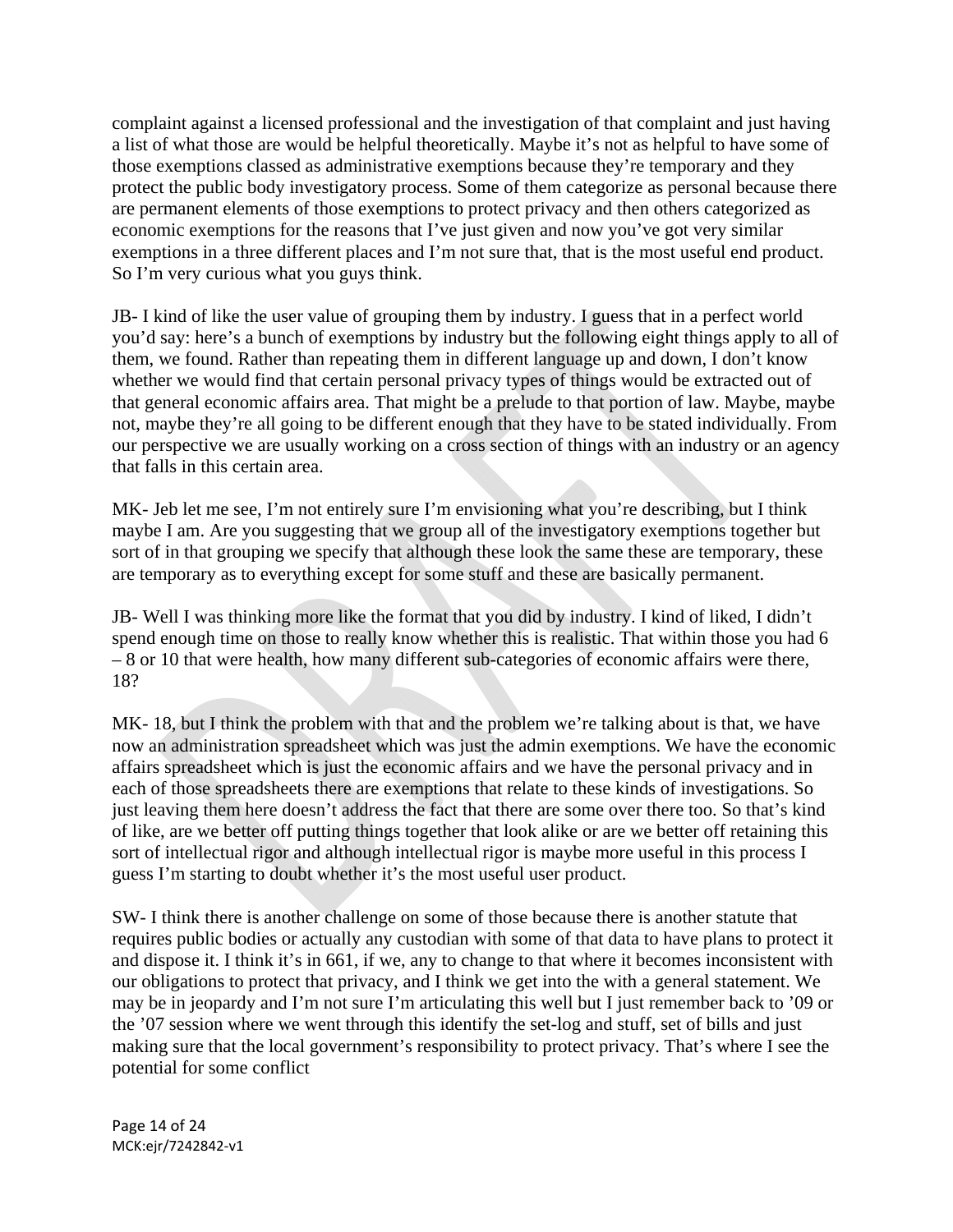complaint against a licensed professional and the investigation of that complaint and just having a list of what those are would be helpful theoretically. Maybe it's not as helpful to have some of those exemptions classed as administrative exemptions because they're temporary and they protect the public body investigatory process. Some of them categorize as personal because there are permanent elements of those exemptions to protect privacy and then others categorized as economic exemptions for the reasons that I've just given and now you've got very similar exemptions in a three different places and I'm not sure that, that is the most useful end product. So I'm very curious what you guys think.

JB- I kind of like the user value of grouping them by industry. I guess that in a perfect world you'd say: here's a bunch of exemptions by industry but the following eight things apply to all of them, we found. Rather than repeating them in different language up and down, I don't know whether we would find that certain personal privacy types of things would be extracted out of that general economic affairs area. That might be a prelude to that portion of law. Maybe, maybe not, maybe they're all going to be different enough that they have to be stated individually. From our perspective we are usually working on a cross section of things with an industry or an agency that falls in this certain area.

MK- Jeb let me see, I'm not entirely sure I'm envisioning what you're describing, but I think maybe I am. Are you suggesting that we group all of the investigatory exemptions together but sort of in that grouping we specify that although these look the same these are temporary, these are temporary as to everything except for some stuff and these are basically permanent.

JB- Well I was thinking more like the format that you did by industry. I kind of liked, I didn't spend enough time on those to really know whether this is realistic. That within those you had 6 – 8 or 10 that were health, how many different sub-categories of economic affairs were there, 18?

MK- 18, but I think the problem with that and the problem we're talking about is that, we have now an administration spreadsheet which was just the admin exemptions. We have the economic affairs spreadsheet which is just the economic affairs and we have the personal privacy and in each of those spreadsheets there are exemptions that relate to these kinds of investigations. So just leaving them here doesn't address the fact that there are some over there too. So that's kind of like, are we better off putting things together that look alike or are we better off retaining this sort of intellectual rigor and although intellectual rigor is maybe more useful in this process I guess I'm starting to doubt whether it's the most useful user product.

SW- I think there is another challenge on some of those because there is another statute that requires public bodies or actually any custodian with some of that data to have plans to protect it and dispose it. I think it's in 661, if we, any to change to that where it becomes inconsistent with our obligations to protect that privacy, and I think we get into the with a general statement. We may be in jeopardy and I'm not sure I'm articulating this well but I just remember back to '09 or the '07 session where we went through this identify the set-log and stuff, set of bills and just making sure that the local government's responsibility to protect privacy. That's where I see the potential for some conflict

Page 14 of 24 MCK:ejr/7242842‐v1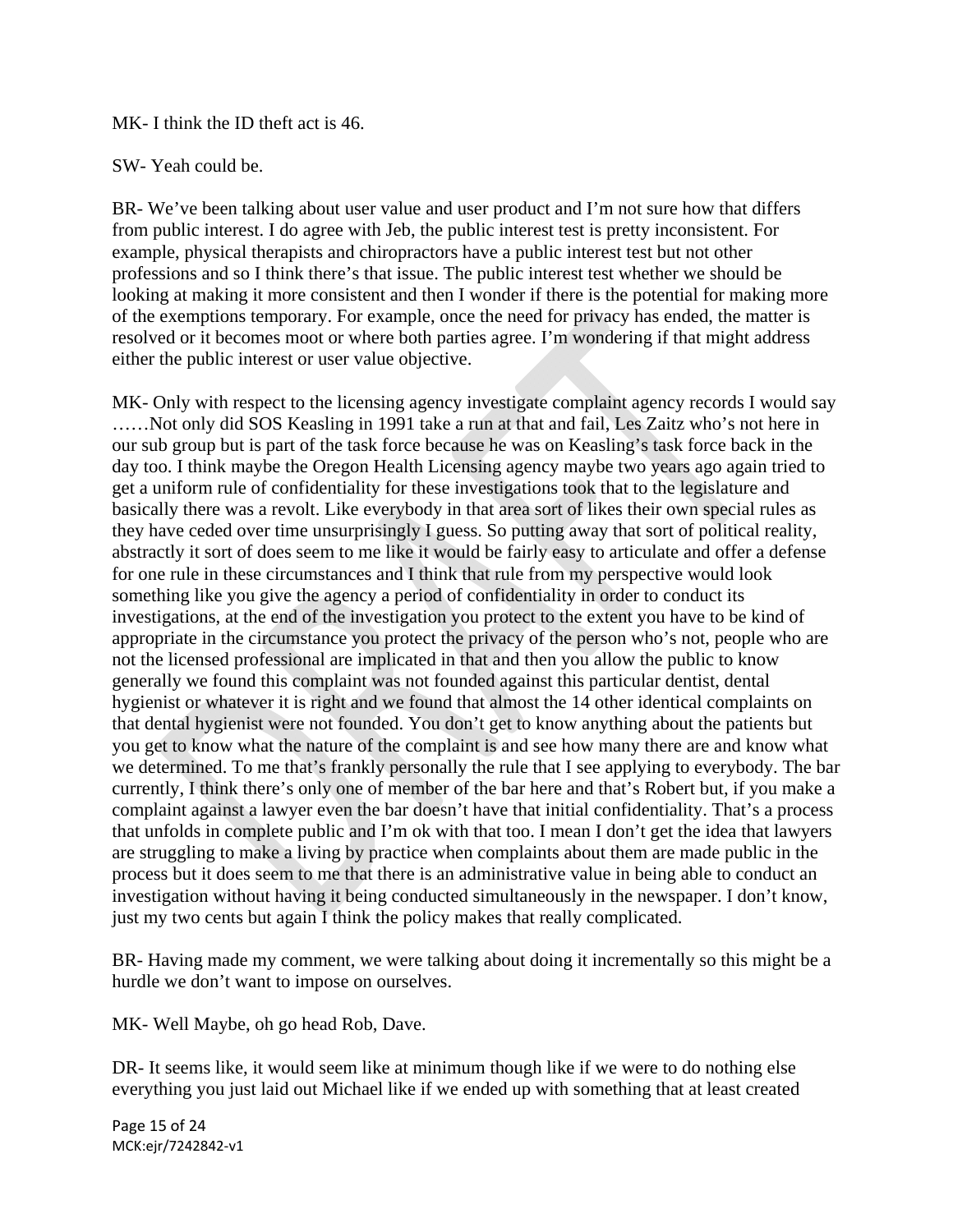#### MK- I think the ID theft act is 46.

#### SW- Yeah could be.

BR- We've been talking about user value and user product and I'm not sure how that differs from public interest. I do agree with Jeb, the public interest test is pretty inconsistent. For example, physical therapists and chiropractors have a public interest test but not other professions and so I think there's that issue. The public interest test whether we should be looking at making it more consistent and then I wonder if there is the potential for making more of the exemptions temporary. For example, once the need for privacy has ended, the matter is resolved or it becomes moot or where both parties agree. I'm wondering if that might address either the public interest or user value objective.

MK- Only with respect to the licensing agency investigate complaint agency records I would say ……Not only did SOS Keasling in 1991 take a run at that and fail, Les Zaitz who's not here in our sub group but is part of the task force because he was on Keasling's task force back in the day too. I think maybe the Oregon Health Licensing agency maybe two years ago again tried to get a uniform rule of confidentiality for these investigations took that to the legislature and basically there was a revolt. Like everybody in that area sort of likes their own special rules as they have ceded over time unsurprisingly I guess. So putting away that sort of political reality, abstractly it sort of does seem to me like it would be fairly easy to articulate and offer a defense for one rule in these circumstances and I think that rule from my perspective would look something like you give the agency a period of confidentiality in order to conduct its investigations, at the end of the investigation you protect to the extent you have to be kind of appropriate in the circumstance you protect the privacy of the person who's not, people who are not the licensed professional are implicated in that and then you allow the public to know generally we found this complaint was not founded against this particular dentist, dental hygienist or whatever it is right and we found that almost the 14 other identical complaints on that dental hygienist were not founded. You don't get to know anything about the patients but you get to know what the nature of the complaint is and see how many there are and know what we determined. To me that's frankly personally the rule that I see applying to everybody. The bar currently, I think there's only one of member of the bar here and that's Robert but, if you make a complaint against a lawyer even the bar doesn't have that initial confidentiality. That's a process that unfolds in complete public and I'm ok with that too. I mean I don't get the idea that lawyers are struggling to make a living by practice when complaints about them are made public in the process but it does seem to me that there is an administrative value in being able to conduct an investigation without having it being conducted simultaneously in the newspaper. I don't know, just my two cents but again I think the policy makes that really complicated.

BR- Having made my comment, we were talking about doing it incrementally so this might be a hurdle we don't want to impose on ourselves.

MK- Well Maybe, oh go head Rob, Dave.

DR- It seems like, it would seem like at minimum though like if we were to do nothing else everything you just laid out Michael like if we ended up with something that at least created

Page 15 of 24 MCK:ejr/7242842‐v1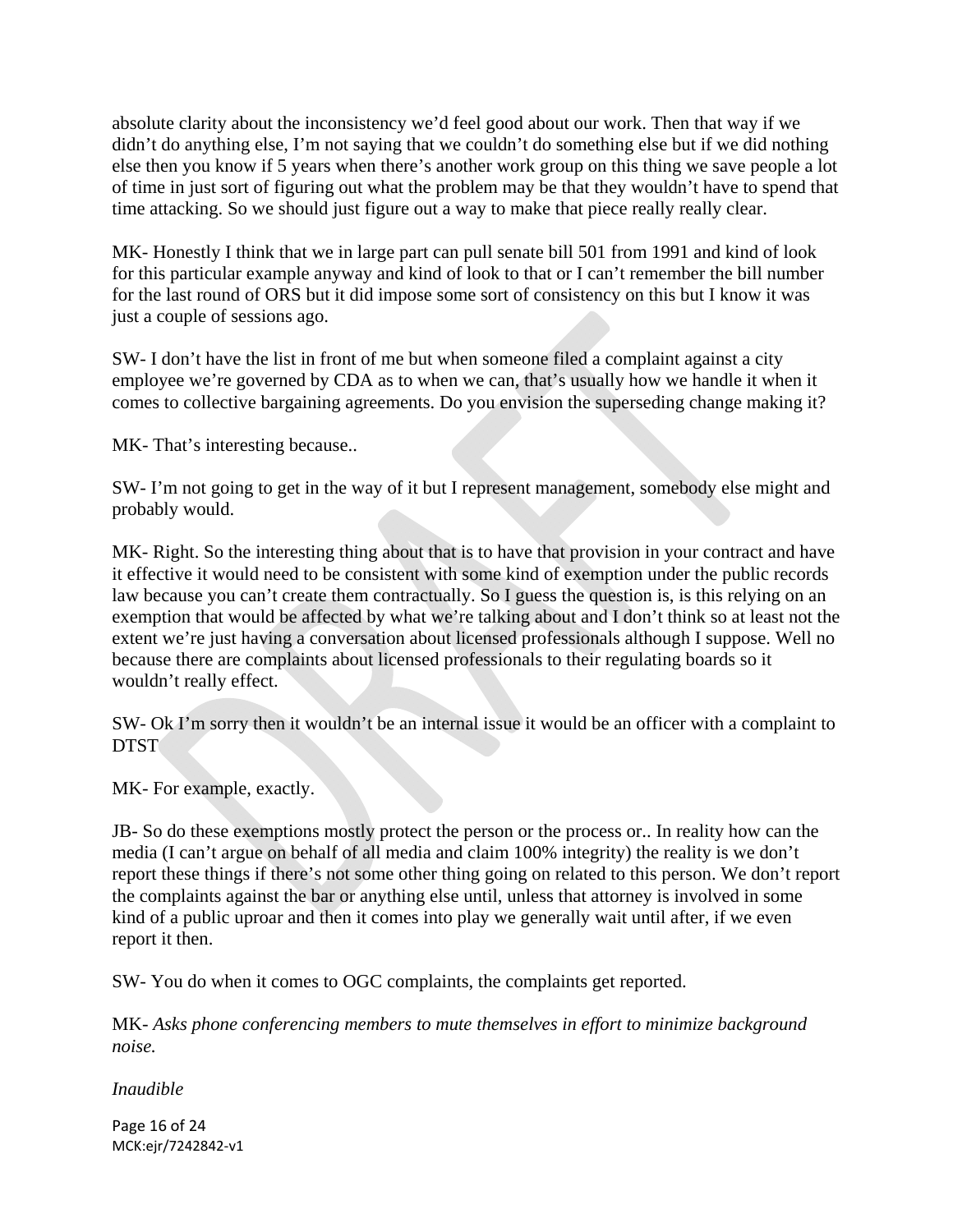absolute clarity about the inconsistency we'd feel good about our work. Then that way if we didn't do anything else, I'm not saying that we couldn't do something else but if we did nothing else then you know if 5 years when there's another work group on this thing we save people a lot of time in just sort of figuring out what the problem may be that they wouldn't have to spend that time attacking. So we should just figure out a way to make that piece really really clear.

MK- Honestly I think that we in large part can pull senate bill 501 from 1991 and kind of look for this particular example anyway and kind of look to that or I can't remember the bill number for the last round of ORS but it did impose some sort of consistency on this but I know it was just a couple of sessions ago.

SW- I don't have the list in front of me but when someone filed a complaint against a city employee we're governed by CDA as to when we can, that's usually how we handle it when it comes to collective bargaining agreements. Do you envision the superseding change making it?

MK- That's interesting because..

SW- I'm not going to get in the way of it but I represent management, somebody else might and probably would.

MK- Right. So the interesting thing about that is to have that provision in your contract and have it effective it would need to be consistent with some kind of exemption under the public records law because you can't create them contractually. So I guess the question is, is this relying on an exemption that would be affected by what we're talking about and I don't think so at least not the extent we're just having a conversation about licensed professionals although I suppose. Well no because there are complaints about licensed professionals to their regulating boards so it wouldn't really effect.

SW- Ok I'm sorry then it wouldn't be an internal issue it would be an officer with a complaint to DTST

MK- For example, exactly.

JB- So do these exemptions mostly protect the person or the process or.. In reality how can the media (I can't argue on behalf of all media and claim 100% integrity) the reality is we don't report these things if there's not some other thing going on related to this person. We don't report the complaints against the bar or anything else until, unless that attorney is involved in some kind of a public uproar and then it comes into play we generally wait until after, if we even report it then.

SW- You do when it comes to OGC complaints, the complaints get reported.

MK- *Asks phone conferencing members to mute themselves in effort to minimize background noise.* 

*Inaudible* 

Page 16 of 24 MCK:ejr/7242842‐v1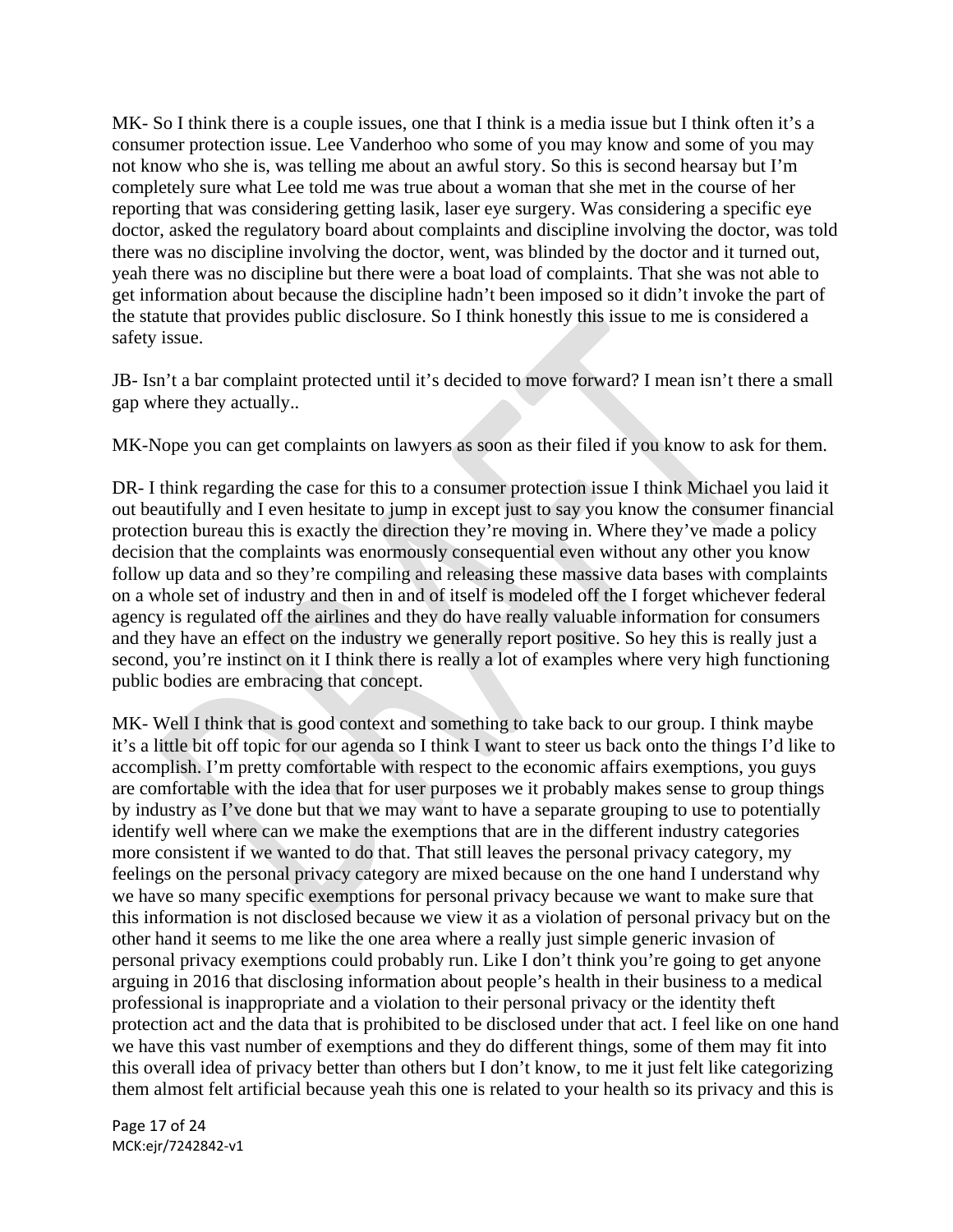MK- So I think there is a couple issues, one that I think is a media issue but I think often it's a consumer protection issue. Lee Vanderhoo who some of you may know and some of you may not know who she is, was telling me about an awful story. So this is second hearsay but I'm completely sure what Lee told me was true about a woman that she met in the course of her reporting that was considering getting lasik, laser eye surgery. Was considering a specific eye doctor, asked the regulatory board about complaints and discipline involving the doctor, was told there was no discipline involving the doctor, went, was blinded by the doctor and it turned out, yeah there was no discipline but there were a boat load of complaints. That she was not able to get information about because the discipline hadn't been imposed so it didn't invoke the part of the statute that provides public disclosure. So I think honestly this issue to me is considered a safety issue.

JB- Isn't a bar complaint protected until it's decided to move forward? I mean isn't there a small gap where they actually..

MK-Nope you can get complaints on lawyers as soon as their filed if you know to ask for them.

DR- I think regarding the case for this to a consumer protection issue I think Michael you laid it out beautifully and I even hesitate to jump in except just to say you know the consumer financial protection bureau this is exactly the direction they're moving in. Where they've made a policy decision that the complaints was enormously consequential even without any other you know follow up data and so they're compiling and releasing these massive data bases with complaints on a whole set of industry and then in and of itself is modeled off the I forget whichever federal agency is regulated off the airlines and they do have really valuable information for consumers and they have an effect on the industry we generally report positive. So hey this is really just a second, you're instinct on it I think there is really a lot of examples where very high functioning public bodies are embracing that concept.

MK- Well I think that is good context and something to take back to our group. I think maybe it's a little bit off topic for our agenda so I think I want to steer us back onto the things I'd like to accomplish. I'm pretty comfortable with respect to the economic affairs exemptions, you guys are comfortable with the idea that for user purposes we it probably makes sense to group things by industry as I've done but that we may want to have a separate grouping to use to potentially identify well where can we make the exemptions that are in the different industry categories more consistent if we wanted to do that. That still leaves the personal privacy category, my feelings on the personal privacy category are mixed because on the one hand I understand why we have so many specific exemptions for personal privacy because we want to make sure that this information is not disclosed because we view it as a violation of personal privacy but on the other hand it seems to me like the one area where a really just simple generic invasion of personal privacy exemptions could probably run. Like I don't think you're going to get anyone arguing in 2016 that disclosing information about people's health in their business to a medical professional is inappropriate and a violation to their personal privacy or the identity theft protection act and the data that is prohibited to be disclosed under that act. I feel like on one hand we have this vast number of exemptions and they do different things, some of them may fit into this overall idea of privacy better than others but I don't know, to me it just felt like categorizing them almost felt artificial because yeah this one is related to your health so its privacy and this is

Page 17 of 24 MCK:ejr/7242842‐v1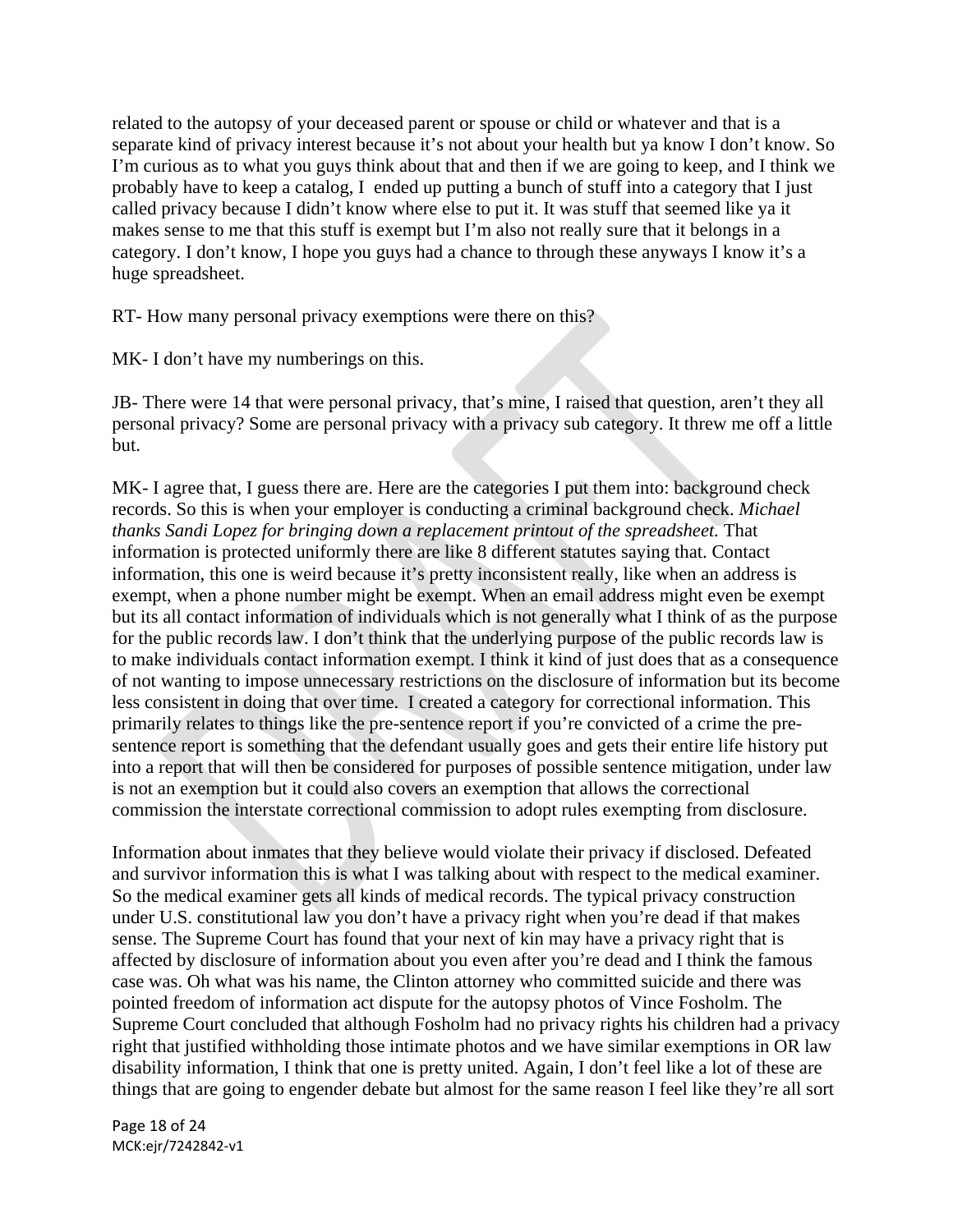related to the autopsy of your deceased parent or spouse or child or whatever and that is a separate kind of privacy interest because it's not about your health but ya know I don't know. So I'm curious as to what you guys think about that and then if we are going to keep, and I think we probably have to keep a catalog, I ended up putting a bunch of stuff into a category that I just called privacy because I didn't know where else to put it. It was stuff that seemed like ya it makes sense to me that this stuff is exempt but I'm also not really sure that it belongs in a category. I don't know, I hope you guys had a chance to through these anyways I know it's a huge spreadsheet.

RT- How many personal privacy exemptions were there on this?

MK- I don't have my numberings on this.

JB- There were 14 that were personal privacy, that's mine, I raised that question, aren't they all personal privacy? Some are personal privacy with a privacy sub category. It threw me off a little but.

MK- I agree that, I guess there are. Here are the categories I put them into: background check records. So this is when your employer is conducting a criminal background check. *Michael thanks Sandi Lopez for bringing down a replacement printout of the spreadsheet.* That information is protected uniformly there are like 8 different statutes saying that. Contact information, this one is weird because it's pretty inconsistent really, like when an address is exempt, when a phone number might be exempt. When an email address might even be exempt but its all contact information of individuals which is not generally what I think of as the purpose for the public records law. I don't think that the underlying purpose of the public records law is to make individuals contact information exempt. I think it kind of just does that as a consequence of not wanting to impose unnecessary restrictions on the disclosure of information but its become less consistent in doing that over time. I created a category for correctional information. This primarily relates to things like the pre-sentence report if you're convicted of a crime the presentence report is something that the defendant usually goes and gets their entire life history put into a report that will then be considered for purposes of possible sentence mitigation, under law is not an exemption but it could also covers an exemption that allows the correctional commission the interstate correctional commission to adopt rules exempting from disclosure.

Information about inmates that they believe would violate their privacy if disclosed. Defeated and survivor information this is what I was talking about with respect to the medical examiner. So the medical examiner gets all kinds of medical records. The typical privacy construction under U.S. constitutional law you don't have a privacy right when you're dead if that makes sense. The Supreme Court has found that your next of kin may have a privacy right that is affected by disclosure of information about you even after you're dead and I think the famous case was. Oh what was his name, the Clinton attorney who committed suicide and there was pointed freedom of information act dispute for the autopsy photos of Vince Fosholm. The Supreme Court concluded that although Fosholm had no privacy rights his children had a privacy right that justified withholding those intimate photos and we have similar exemptions in OR law disability information, I think that one is pretty united. Again, I don't feel like a lot of these are things that are going to engender debate but almost for the same reason I feel like they're all sort

Page 18 of 24 MCK:ejr/7242842‐v1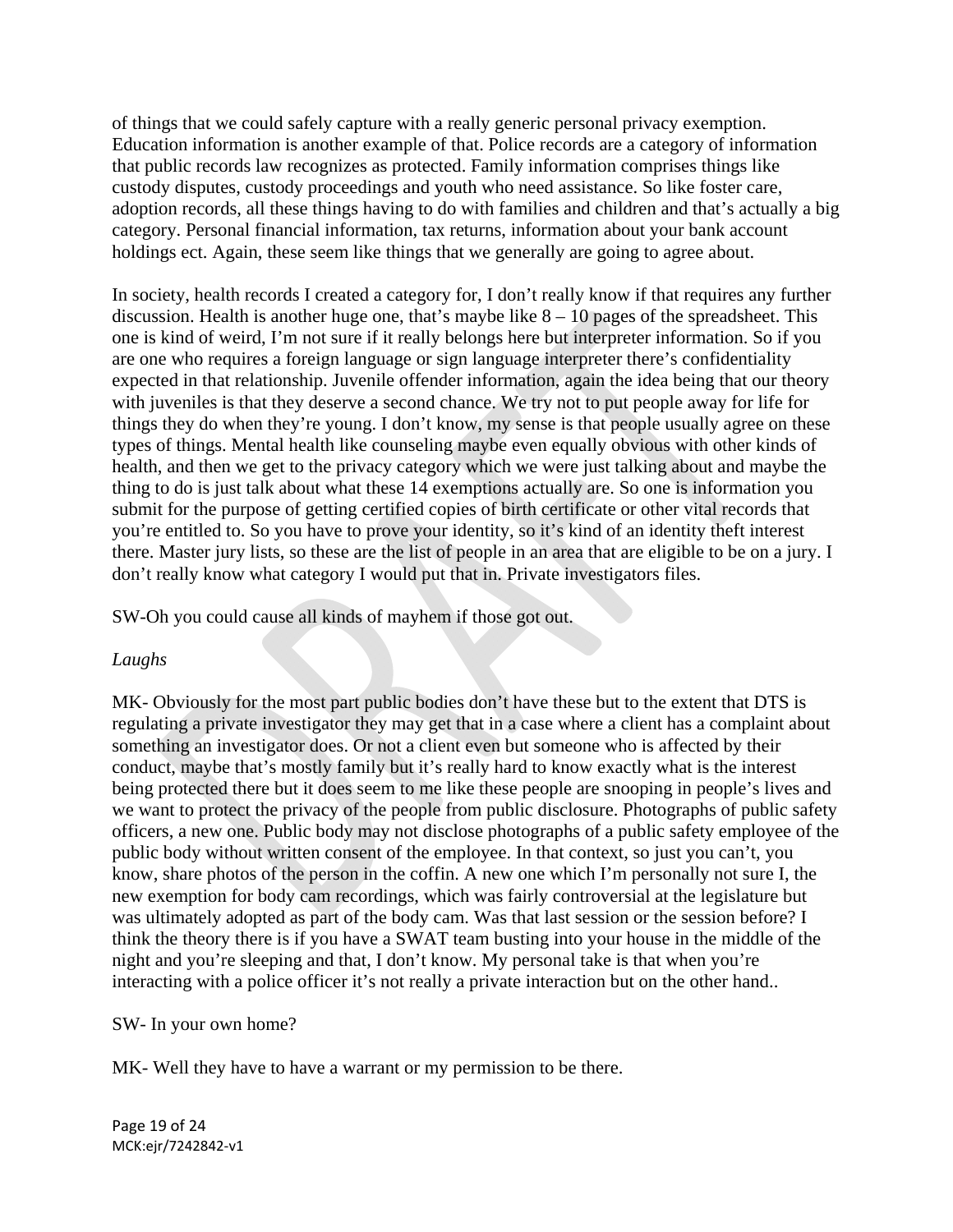of things that we could safely capture with a really generic personal privacy exemption. Education information is another example of that. Police records are a category of information that public records law recognizes as protected. Family information comprises things like custody disputes, custody proceedings and youth who need assistance. So like foster care, adoption records, all these things having to do with families and children and that's actually a big category. Personal financial information, tax returns, information about your bank account holdings ect. Again, these seem like things that we generally are going to agree about.

In society, health records I created a category for, I don't really know if that requires any further discussion. Health is another huge one, that's maybe like 8 – 10 pages of the spreadsheet. This one is kind of weird, I'm not sure if it really belongs here but interpreter information. So if you are one who requires a foreign language or sign language interpreter there's confidentiality expected in that relationship. Juvenile offender information, again the idea being that our theory with juveniles is that they deserve a second chance. We try not to put people away for life for things they do when they're young. I don't know, my sense is that people usually agree on these types of things. Mental health like counseling maybe even equally obvious with other kinds of health, and then we get to the privacy category which we were just talking about and maybe the thing to do is just talk about what these 14 exemptions actually are. So one is information you submit for the purpose of getting certified copies of birth certificate or other vital records that you're entitled to. So you have to prove your identity, so it's kind of an identity theft interest there. Master jury lists, so these are the list of people in an area that are eligible to be on a jury. I don't really know what category I would put that in. Private investigators files.

SW-Oh you could cause all kinds of mayhem if those got out.

## *Laughs*

MK- Obviously for the most part public bodies don't have these but to the extent that DTS is regulating a private investigator they may get that in a case where a client has a complaint about something an investigator does. Or not a client even but someone who is affected by their conduct, maybe that's mostly family but it's really hard to know exactly what is the interest being protected there but it does seem to me like these people are snooping in people's lives and we want to protect the privacy of the people from public disclosure. Photographs of public safety officers, a new one. Public body may not disclose photographs of a public safety employee of the public body without written consent of the employee. In that context, so just you can't, you know, share photos of the person in the coffin. A new one which I'm personally not sure I, the new exemption for body cam recordings, which was fairly controversial at the legislature but was ultimately adopted as part of the body cam. Was that last session or the session before? I think the theory there is if you have a SWAT team busting into your house in the middle of the night and you're sleeping and that, I don't know. My personal take is that when you're interacting with a police officer it's not really a private interaction but on the other hand..

## SW- In your own home?

MK- Well they have to have a warrant or my permission to be there.

Page 19 of 24 MCK:ejr/7242842‐v1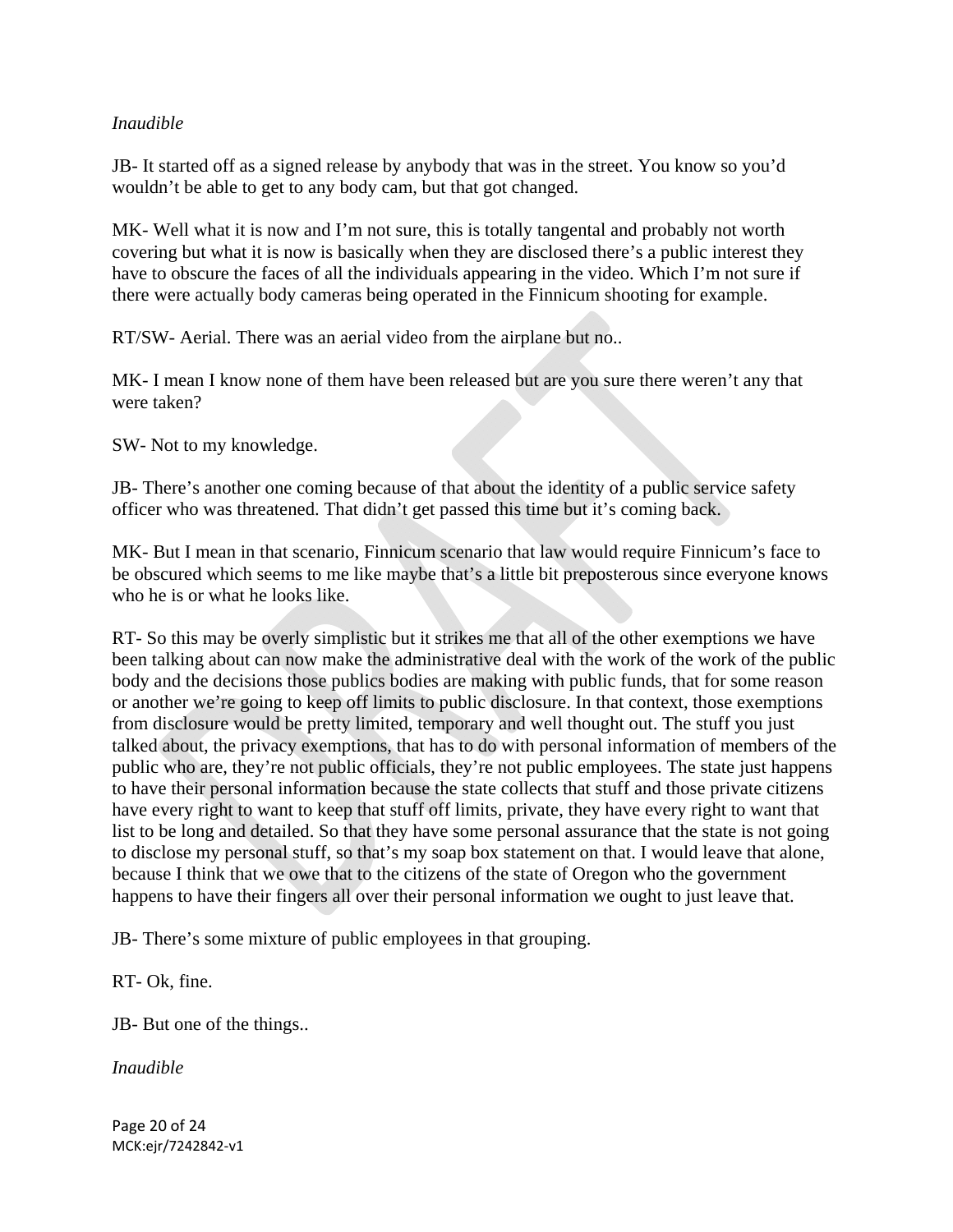## *Inaudible*

JB- It started off as a signed release by anybody that was in the street. You know so you'd wouldn't be able to get to any body cam, but that got changed.

MK- Well what it is now and I'm not sure, this is totally tangental and probably not worth covering but what it is now is basically when they are disclosed there's a public interest they have to obscure the faces of all the individuals appearing in the video. Which I'm not sure if there were actually body cameras being operated in the Finnicum shooting for example.

RT/SW- Aerial. There was an aerial video from the airplane but no..

MK- I mean I know none of them have been released but are you sure there weren't any that were taken?

SW- Not to my knowledge.

JB- There's another one coming because of that about the identity of a public service safety officer who was threatened. That didn't get passed this time but it's coming back.

MK- But I mean in that scenario, Finnicum scenario that law would require Finnicum's face to be obscured which seems to me like maybe that's a little bit preposterous since everyone knows who he is or what he looks like.

RT- So this may be overly simplistic but it strikes me that all of the other exemptions we have been talking about can now make the administrative deal with the work of the work of the public body and the decisions those publics bodies are making with public funds, that for some reason or another we're going to keep off limits to public disclosure. In that context, those exemptions from disclosure would be pretty limited, temporary and well thought out. The stuff you just talked about, the privacy exemptions, that has to do with personal information of members of the public who are, they're not public officials, they're not public employees. The state just happens to have their personal information because the state collects that stuff and those private citizens have every right to want to keep that stuff off limits, private, they have every right to want that list to be long and detailed. So that they have some personal assurance that the state is not going to disclose my personal stuff, so that's my soap box statement on that. I would leave that alone, because I think that we owe that to the citizens of the state of Oregon who the government happens to have their fingers all over their personal information we ought to just leave that.

JB- There's some mixture of public employees in that grouping.

RT- Ok, fine.

JB- But one of the things..

*Inaudible* 

Page 20 of 24 MCK:ejr/7242842‐v1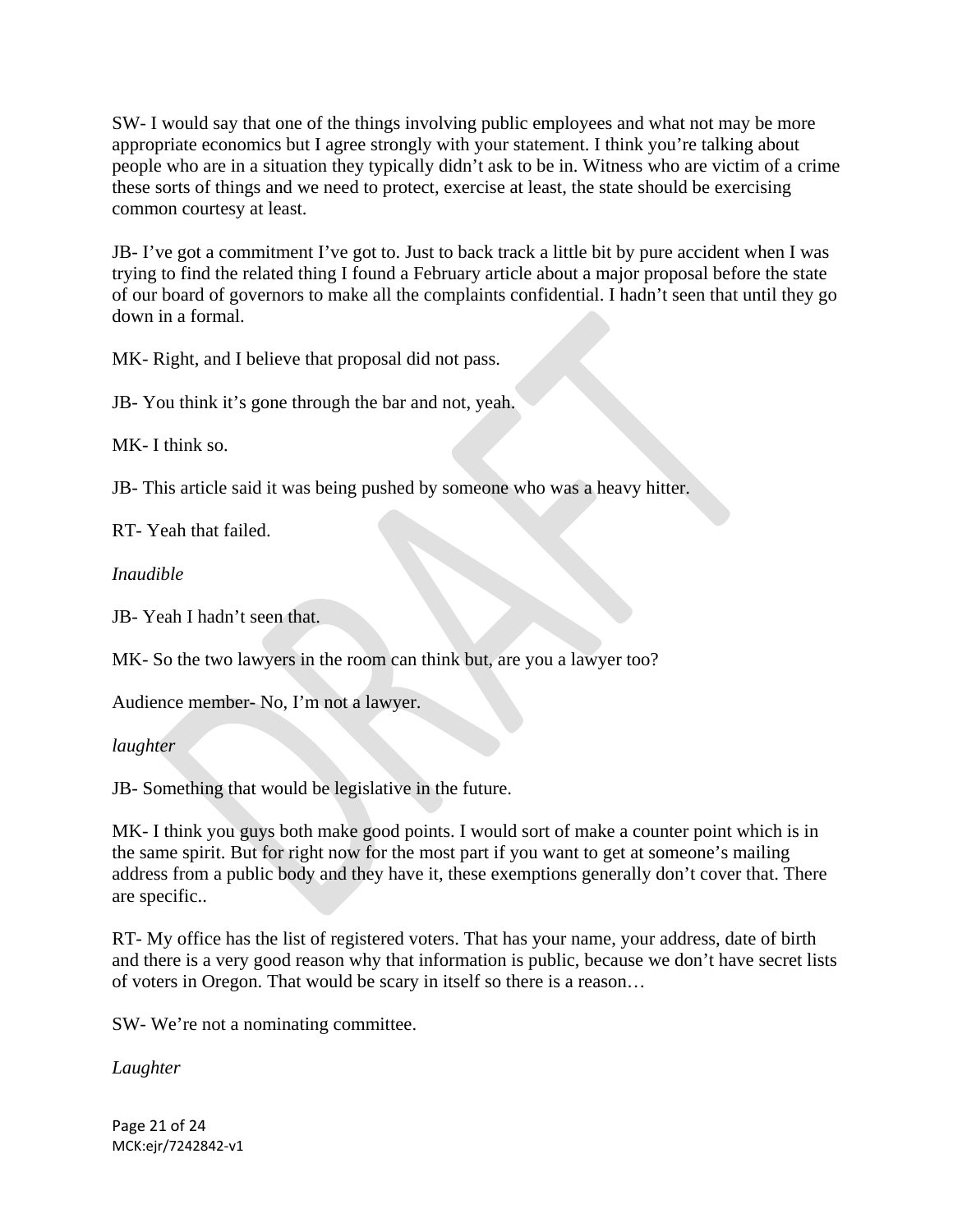SW- I would say that one of the things involving public employees and what not may be more appropriate economics but I agree strongly with your statement. I think you're talking about people who are in a situation they typically didn't ask to be in. Witness who are victim of a crime these sorts of things and we need to protect, exercise at least, the state should be exercising common courtesy at least.

JB- I've got a commitment I've got to. Just to back track a little bit by pure accident when I was trying to find the related thing I found a February article about a major proposal before the state of our board of governors to make all the complaints confidential. I hadn't seen that until they go down in a formal.

MK- Right, and I believe that proposal did not pass.

JB- You think it's gone through the bar and not, yeah.

MK- I think so.

JB- This article said it was being pushed by someone who was a heavy hitter.

RT- Yeah that failed.

*Inaudible*

JB- Yeah I hadn't seen that.

MK- So the two lawyers in the room can think but, are you a lawyer too?

Audience member- No, I'm not a lawyer.

*laughter*

JB- Something that would be legislative in the future.

MK- I think you guys both make good points. I would sort of make a counter point which is in the same spirit. But for right now for the most part if you want to get at someone's mailing address from a public body and they have it, these exemptions generally don't cover that. There are specific..

RT- My office has the list of registered voters. That has your name, your address, date of birth and there is a very good reason why that information is public, because we don't have secret lists of voters in Oregon. That would be scary in itself so there is a reason…

SW- We're not a nominating committee.

*Laughter* 

Page 21 of 24 MCK:ejr/7242842‐v1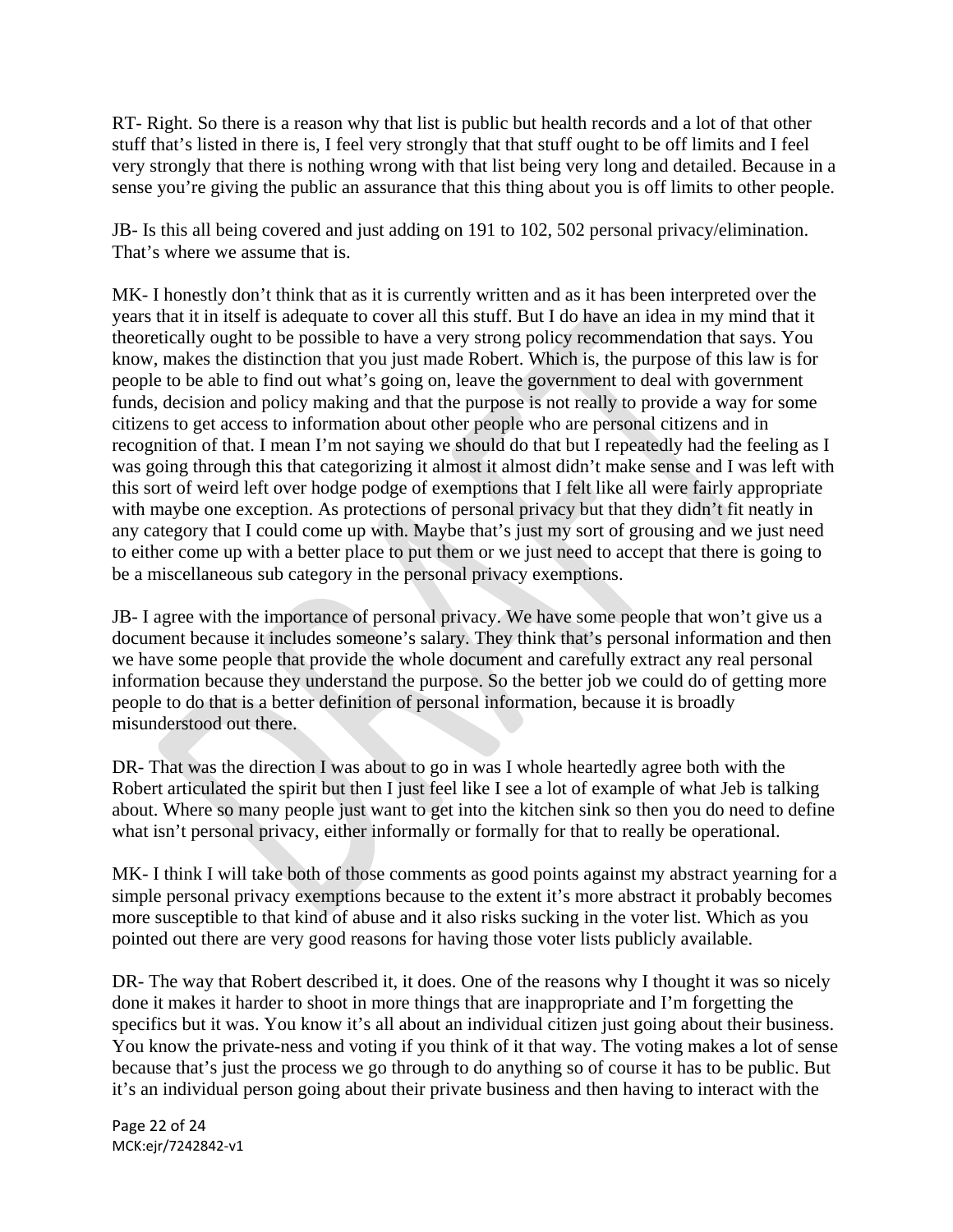RT- Right. So there is a reason why that list is public but health records and a lot of that other stuff that's listed in there is, I feel very strongly that that stuff ought to be off limits and I feel very strongly that there is nothing wrong with that list being very long and detailed. Because in a sense you're giving the public an assurance that this thing about you is off limits to other people.

JB- Is this all being covered and just adding on 191 to 102, 502 personal privacy/elimination. That's where we assume that is.

MK- I honestly don't think that as it is currently written and as it has been interpreted over the years that it in itself is adequate to cover all this stuff. But I do have an idea in my mind that it theoretically ought to be possible to have a very strong policy recommendation that says. You know, makes the distinction that you just made Robert. Which is, the purpose of this law is for people to be able to find out what's going on, leave the government to deal with government funds, decision and policy making and that the purpose is not really to provide a way for some citizens to get access to information about other people who are personal citizens and in recognition of that. I mean I'm not saying we should do that but I repeatedly had the feeling as I was going through this that categorizing it almost it almost didn't make sense and I was left with this sort of weird left over hodge podge of exemptions that I felt like all were fairly appropriate with maybe one exception. As protections of personal privacy but that they didn't fit neatly in any category that I could come up with. Maybe that's just my sort of grousing and we just need to either come up with a better place to put them or we just need to accept that there is going to be a miscellaneous sub category in the personal privacy exemptions.

JB- I agree with the importance of personal privacy. We have some people that won't give us a document because it includes someone's salary. They think that's personal information and then we have some people that provide the whole document and carefully extract any real personal information because they understand the purpose. So the better job we could do of getting more people to do that is a better definition of personal information, because it is broadly misunderstood out there.

DR- That was the direction I was about to go in was I whole heartedly agree both with the Robert articulated the spirit but then I just feel like I see a lot of example of what Jeb is talking about. Where so many people just want to get into the kitchen sink so then you do need to define what isn't personal privacy, either informally or formally for that to really be operational.

MK- I think I will take both of those comments as good points against my abstract yearning for a simple personal privacy exemptions because to the extent it's more abstract it probably becomes more susceptible to that kind of abuse and it also risks sucking in the voter list. Which as you pointed out there are very good reasons for having those voter lists publicly available.

DR- The way that Robert described it, it does. One of the reasons why I thought it was so nicely done it makes it harder to shoot in more things that are inappropriate and I'm forgetting the specifics but it was. You know it's all about an individual citizen just going about their business. You know the private-ness and voting if you think of it that way. The voting makes a lot of sense because that's just the process we go through to do anything so of course it has to be public. But it's an individual person going about their private business and then having to interact with the

Page 22 of 24 MCK:ejr/7242842‐v1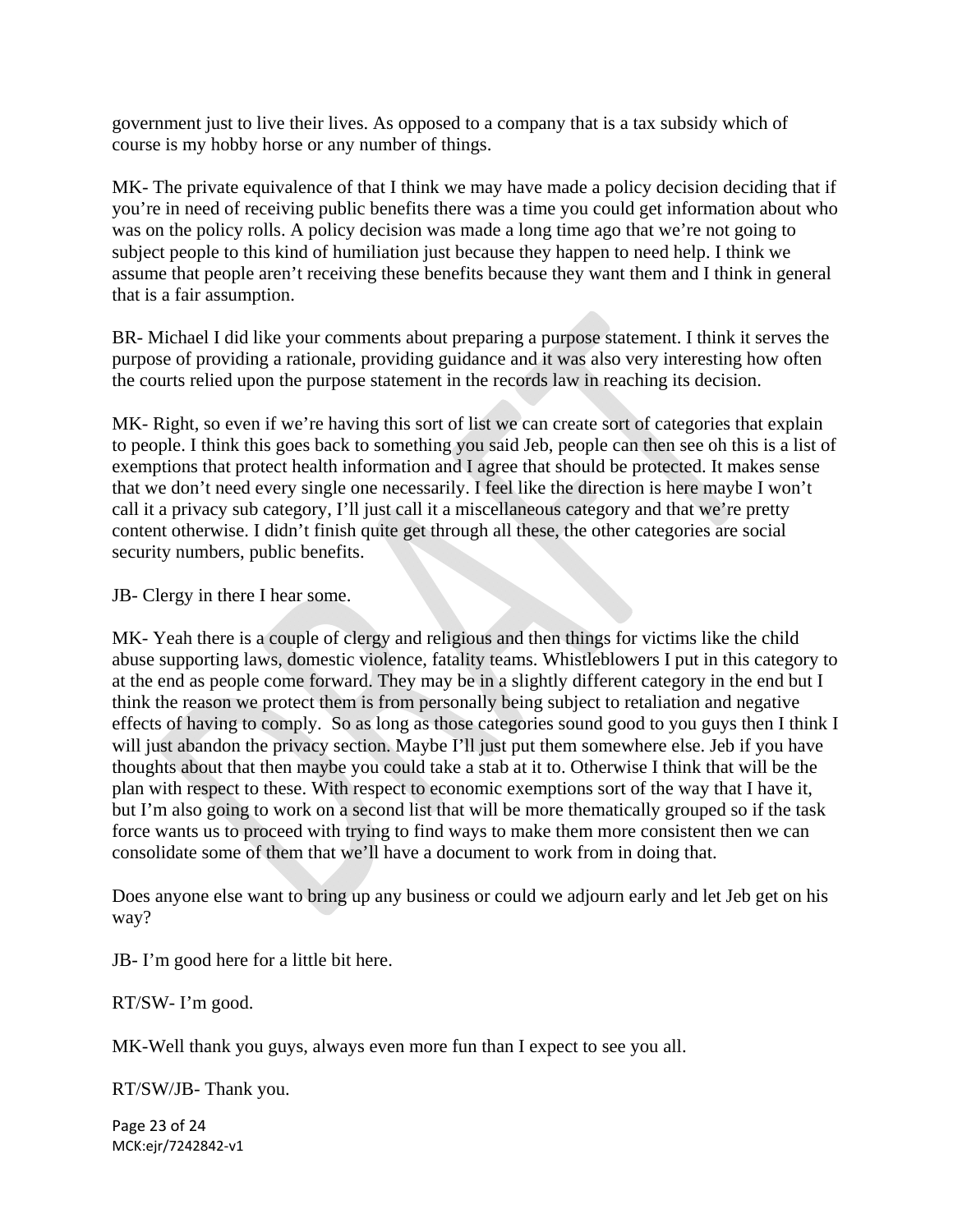government just to live their lives. As opposed to a company that is a tax subsidy which of course is my hobby horse or any number of things.

MK- The private equivalence of that I think we may have made a policy decision deciding that if you're in need of receiving public benefits there was a time you could get information about who was on the policy rolls. A policy decision was made a long time ago that we're not going to subject people to this kind of humiliation just because they happen to need help. I think we assume that people aren't receiving these benefits because they want them and I think in general that is a fair assumption.

BR- Michael I did like your comments about preparing a purpose statement. I think it serves the purpose of providing a rationale, providing guidance and it was also very interesting how often the courts relied upon the purpose statement in the records law in reaching its decision.

MK- Right, so even if we're having this sort of list we can create sort of categories that explain to people. I think this goes back to something you said Jeb, people can then see oh this is a list of exemptions that protect health information and I agree that should be protected. It makes sense that we don't need every single one necessarily. I feel like the direction is here maybe I won't call it a privacy sub category, I'll just call it a miscellaneous category and that we're pretty content otherwise. I didn't finish quite get through all these, the other categories are social security numbers, public benefits.

JB- Clergy in there I hear some.

MK- Yeah there is a couple of clergy and religious and then things for victims like the child abuse supporting laws, domestic violence, fatality teams. Whistleblowers I put in this category to at the end as people come forward. They may be in a slightly different category in the end but I think the reason we protect them is from personally being subject to retaliation and negative effects of having to comply. So as long as those categories sound good to you guys then I think I will just abandon the privacy section. Maybe I'll just put them somewhere else. Jeb if you have thoughts about that then maybe you could take a stab at it to. Otherwise I think that will be the plan with respect to these. With respect to economic exemptions sort of the way that I have it, but I'm also going to work on a second list that will be more thematically grouped so if the task force wants us to proceed with trying to find ways to make them more consistent then we can consolidate some of them that we'll have a document to work from in doing that.

Does anyone else want to bring up any business or could we adjourn early and let Jeb get on his way?

JB- I'm good here for a little bit here.

RT/SW- I'm good.

MK-Well thank you guys, always even more fun than I expect to see you all.

RT/SW/JB- Thank you.

Page 23 of 24 MCK:ejr/7242842‐v1